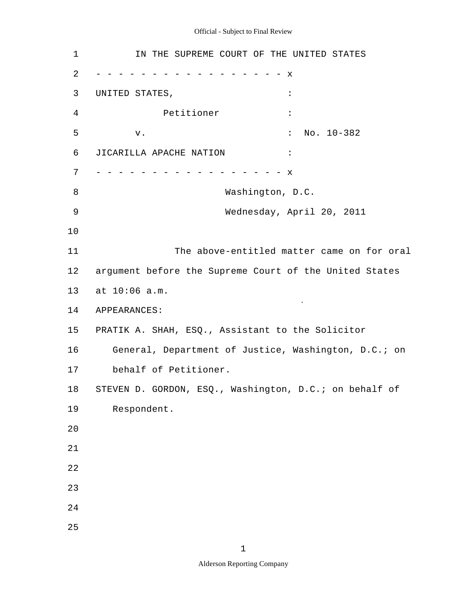# Official - Subject to Final Review

| $\mathbf 1$    | IN THE SUPREME COURT OF THE UNITED STATES              |  |  |  |  |  |
|----------------|--------------------------------------------------------|--|--|--|--|--|
| $\overline{2}$ | x                                                      |  |  |  |  |  |
| 3              | UNITED STATES,<br>$\ddot{\phantom{a}}$                 |  |  |  |  |  |
| 4              | Petitioner<br>$\ddot{\cdot}$                           |  |  |  |  |  |
| 5              | No. 10-382<br>$\ddot{\phantom{a}}$<br>${\rm v}$ .      |  |  |  |  |  |
| 6              | JICARILLA APACHE NATION<br>$\ddot{\cdot}$              |  |  |  |  |  |
| 7              | $\mathbf x$                                            |  |  |  |  |  |
| 8              | Washington, D.C.                                       |  |  |  |  |  |
| 9              | Wednesday, April 20, 2011                              |  |  |  |  |  |
| 10             |                                                        |  |  |  |  |  |
| 11             | The above-entitled matter came on for oral             |  |  |  |  |  |
| 12             | argument before the Supreme Court of the United States |  |  |  |  |  |
| 13             | at 10:06 a.m.                                          |  |  |  |  |  |
| 14             | APPEARANCES:                                           |  |  |  |  |  |
| 15             | PRATIK A. SHAH, ESQ., Assistant to the Solicitor       |  |  |  |  |  |
| 16             | General, Department of Justice, Washington, D.C.; on   |  |  |  |  |  |
| 17             | behalf of Petitioner.                                  |  |  |  |  |  |
| 18             | STEVEN D. GORDON, ESQ., Washington, D.C.; on behalf of |  |  |  |  |  |
| 19             | Respondent.                                            |  |  |  |  |  |
| 20             |                                                        |  |  |  |  |  |
| 21             |                                                        |  |  |  |  |  |
| 22             |                                                        |  |  |  |  |  |
| 23             |                                                        |  |  |  |  |  |
| 24             |                                                        |  |  |  |  |  |
| 25             |                                                        |  |  |  |  |  |

1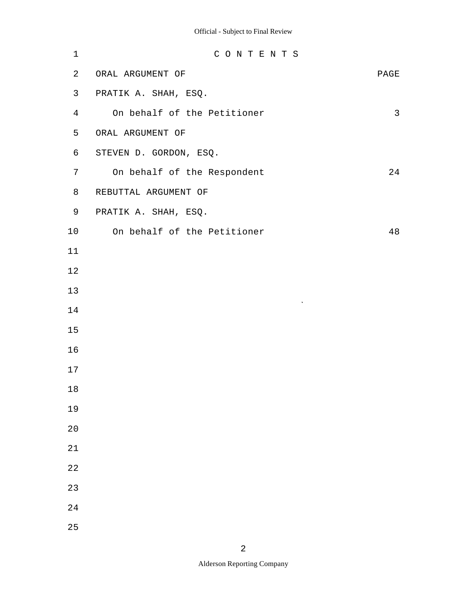| $\mathbf 1$    | CONTENTS                    |              |
|----------------|-----------------------------|--------------|
| 2              | ORAL ARGUMENT OF            | PAGE         |
| 3              | PRATIK A. SHAH, ESQ.        |              |
| $\overline{4}$ | On behalf of the Petitioner | $\mathsf{3}$ |
| 5              | ORAL ARGUMENT OF            |              |
| 6              | STEVEN D. GORDON, ESQ.      |              |
| 7              | On behalf of the Respondent | 24           |
| 8              | REBUTTAL ARGUMENT OF        |              |
| 9              | PRATIK A. SHAH, ESQ.        |              |
| 10             | On behalf of the Petitioner | 48           |
| $11$           |                             |              |
| 12             |                             |              |
| 13             |                             |              |
| 14             | $\mathbf{v}$                |              |
| 15             |                             |              |
| 16             |                             |              |
| 17             |                             |              |
| $1\,8$         |                             |              |
| 19             |                             |              |
| 20             |                             |              |
| 21             |                             |              |
| 22             |                             |              |
| 23             |                             |              |
| 24             |                             |              |
| 25             |                             |              |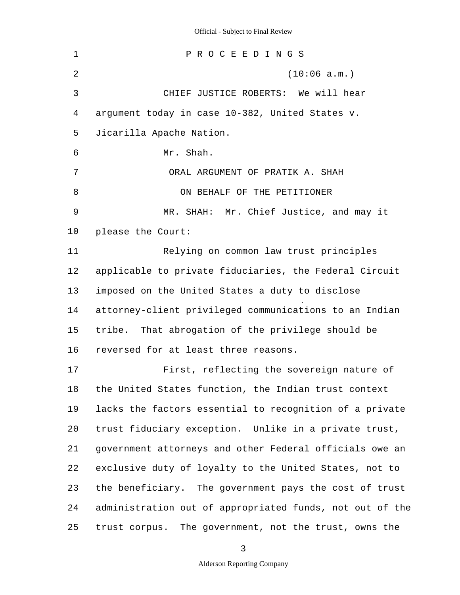| $\mathbf 1$ | PROCEEDINGS                                              |
|-------------|----------------------------------------------------------|
| 2           | (10:06 a.m.)                                             |
| 3           | CHIEF JUSTICE ROBERTS: We will hear                      |
| 4           | argument today in case 10-382, United States v.          |
| 5           | Jicarilla Apache Nation.                                 |
| 6           | Mr. Shah.                                                |
| 7           | ORAL ARGUMENT OF PRATIK A. SHAH                          |
| 8           | ON BEHALF OF THE PETITIONER                              |
| 9           | MR. SHAH: Mr. Chief Justice, and may it                  |
| 10          | please the Court:                                        |
| 11          | Relying on common law trust principles                   |
| 12          | applicable to private fiduciaries, the Federal Circuit   |
| 13          | imposed on the United States a duty to disclose          |
| 14          | attorney-client privileged communications to an Indian   |
| 15          | tribe.<br>That abrogation of the privilege should be     |
| 16          | reversed for at least three reasons.                     |
| 17          | First, reflecting the sovereign nature of                |
| 18          | the United States function, the Indian trust context     |
| 19          | lacks the factors essential to recognition of a private  |
| 20          | trust fiduciary exception. Unlike in a private trust,    |
| 21          | government attorneys and other Federal officials owe an  |
| 22          | exclusive duty of loyalty to the United States, not to   |
| 23          | the beneficiary. The government pays the cost of trust   |
| 24          | administration out of appropriated funds, not out of the |
| 25          | trust corpus. The government, not the trust, owns the    |

3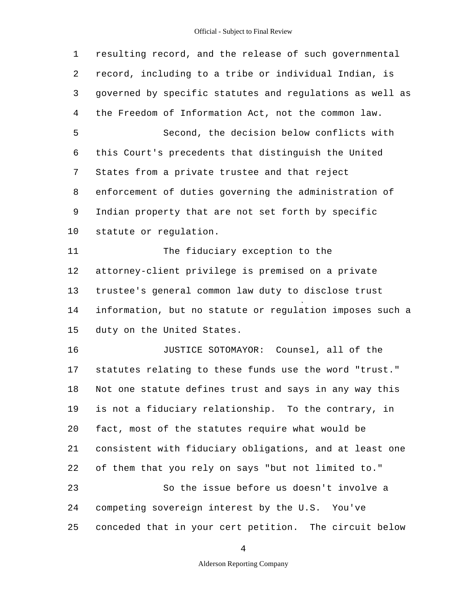#### Official - Subject to Final Review

5 10 15 20 25 1 resulting record, and the release of such governmental 2 record, including to a tribe or individual Indian, is 3 governed by specific statutes and regulations as well as 4 the Freedom of Information Act, not the common law. Second, the decision below conflicts with 6 this Court's precedents that distinguish the United 7 States from a private trustee and that reject 8 enforcement of duties governing the administration of 9 Indian property that are not set forth by specific statute or regulation. 11 The fiduciary exception to the 12 attorney-client privilege is premised on a private 13 trustee's general common law duty to disclose trust 14 information, but no statute or regulation imposes such a duty on the United States. 16 JUSTICE SOTOMAYOR: Counsel, all of the 17 statutes relating to these funds use the word "trust." 18 Not one statute defines trust and says in any way this 19 is not a fiduciary relationship. To the contrary, in fact, most of the statutes require what would be 21 consistent with fiduciary obligations, and at least one 22 of them that you rely on says "but not limited to." 23 So the issue before us doesn't involve a 24 competing sovereign interest by the U.S. You've conceded that in your cert petition. The circuit below

4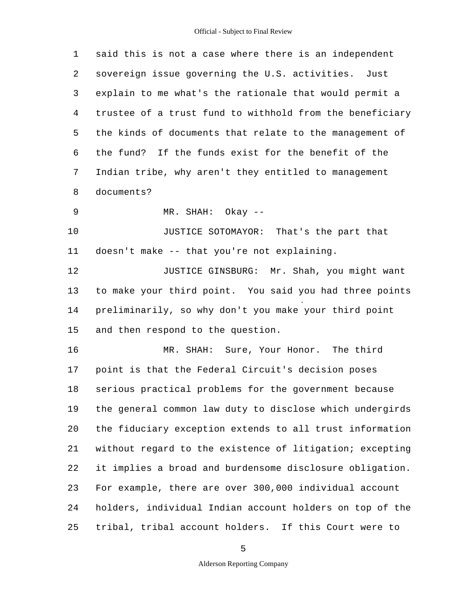| 1  | said this is not a case where there is an independent    |
|----|----------------------------------------------------------|
| 2  | sovereign issue governing the U.S. activities. Just      |
| 3  | explain to me what's the rationale that would permit a   |
| 4  | trustee of a trust fund to withhold from the beneficiary |
| 5  | the kinds of documents that relate to the management of  |
| 6  | the fund? If the funds exist for the benefit of the      |
| 7  | Indian tribe, why aren't they entitled to management     |
| 8  | documents?                                               |
| 9  | MR. SHAH: Okay --                                        |
| 10 | JUSTICE SOTOMAYOR: That's the part that                  |
| 11 | doesn't make -- that you're not explaining.              |
| 12 | JUSTICE GINSBURG: Mr. Shah, you might want               |
| 13 | to make your third point. You said you had three points  |
| 14 | preliminarily, so why don't you make your third point    |
| 15 | and then respond to the question.                        |
| 16 | MR. SHAH: Sure, Your Honor. The third                    |
| 17 | point is that the Federal Circuit's decision poses       |
| 18 | serious practical problems for the government because    |
| 19 | the general common law duty to disclose which undergirds |
| 20 | the fiduciary exception extends to all trust information |
| 21 | without regard to the existence of litigation; excepting |
| 22 | it implies a broad and burdensome disclosure obligation. |
| 23 | For example, there are over 300,000 individual account   |
| 24 | holders, individual Indian account holders on top of the |
| 25 | tribal, tribal account holders. If this Court were to    |

5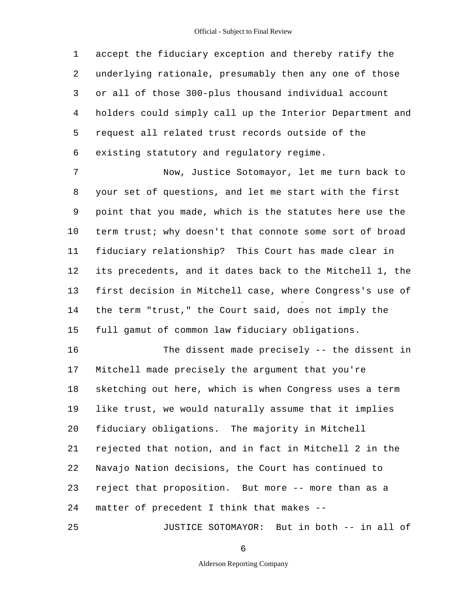5 1 accept the fiduciary exception and thereby ratify the 2 underlying rationale, presumably then any one of those 3 or all of those 300-plus thousand individual account 4 holders could simply call up the Interior Department and request all related trust records outside of the 6 existing statutory and regulatory regime.

10 15 7 Now, Justice Sotomayor, let me turn back to 8 your set of questions, and let me start with the first 9 point that you made, which is the statutes here use the term trust; why doesn't that connote some sort of broad 11 fiduciary relationship? This Court has made clear in 12 its precedents, and it dates back to the Mitchell 1, the 13 first decision in Mitchell case, where Congress's use of 14 the term "trust," the Court said, does not imply the full gamut of common law fiduciary obligations.

20 16 The dissent made precisely -- the dissent in 17 Mitchell made precisely the argument that you're 18 sketching out here, which is when Congress uses a term 19 like trust, we would naturally assume that it implies fiduciary obligations. The majority in Mitchell 21 rejected that notion, and in fact in Mitchell 2 in the 22 Navajo Nation decisions, the Court has continued to 23 reject that proposition. But more -- more than as a 24 matter of precedent I think that makes -

6

JUSTICE SOTOMAYOR: But in both -- in all of

25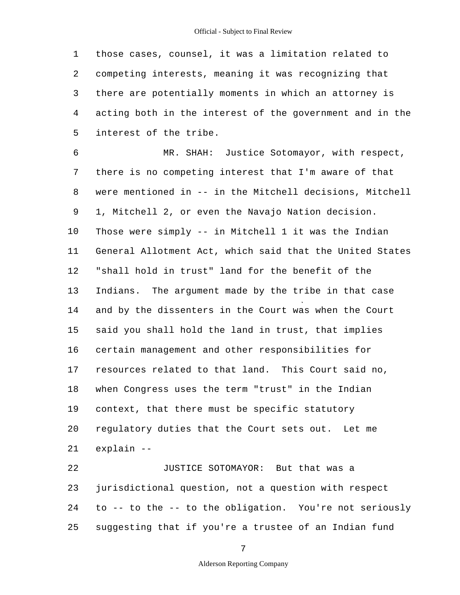5 1 those cases, counsel, it was a limitation related to 2 competing interests, meaning it was recognizing that 3 there are potentially moments in which an attorney is 4 acting both in the interest of the government and in the interest of the tribe.

10 15 20 6 MR. SHAH: Justice Sotomayor, with respect, 7 there is no competing interest that I'm aware of that 8 were mentioned in -- in the Mitchell decisions, Mitchell 9 1, Mitchell 2, or even the Navajo Nation decision. Those were simply -- in Mitchell 1 it was the Indian 11 General Allotment Act, which said that the United States 12 "shall hold in trust" land for the benefit of the 13 Indians. The argument made by the tribe in that case 14 and by the dissenters in the Court was when the Court said you shall hold the land in trust, that implies 16 certain management and other responsibilities for 17 resources related to that land. This Court said no, 18 when Congress uses the term "trust" in the Indian 19 context, that there must be specific statutory regulatory duties that the Court sets out. Let me 21 explain -

25 22 JUSTICE SOTOMAYOR: But that was a 23 jurisdictional question, not a question with respect 24 to -- to the -- to the obligation. You're not seriously suggesting that if you're a trustee of an Indian fund

7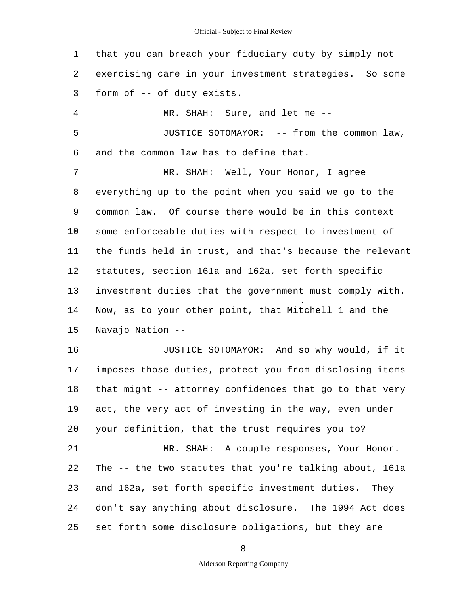5 10 15 20 25 1 that you can breach your fiduciary duty by simply not 2 exercising care in your investment strategies. So some 3 form of -- of duty exists. 4 MR. SHAH: Sure, and let me - JUSTICE SOTOMAYOR: -- from the common law, 6 and the common law has to define that. 7 MR. SHAH: Well, Your Honor, I agree 8 everything up to the point when you said we go to the 9 common law. Of course there would be in this context some enforceable duties with respect to investment of 11 the funds held in trust, and that's because the relevant 12 statutes, section 161a and 162a, set forth specific 13 investment duties that the government must comply with. 14 Now, as to your other point, that Mitchell 1 and the Navajo Nation - 16 JUSTICE SOTOMAYOR: And so why would, if it 17 imposes those duties, protect you from disclosing items 18 that might -- attorney confidences that go to that very 19 act, the very act of investing in the way, even under your definition, that the trust requires you to? 21 MR. SHAH: A couple responses, Your Honor. 22 The -- the two statutes that you're talking about, 161a 23 and 162a, set forth specific investment duties. They 24 don't say anything about disclosure. The 1994 Act does set forth some disclosure obligations, but they are

8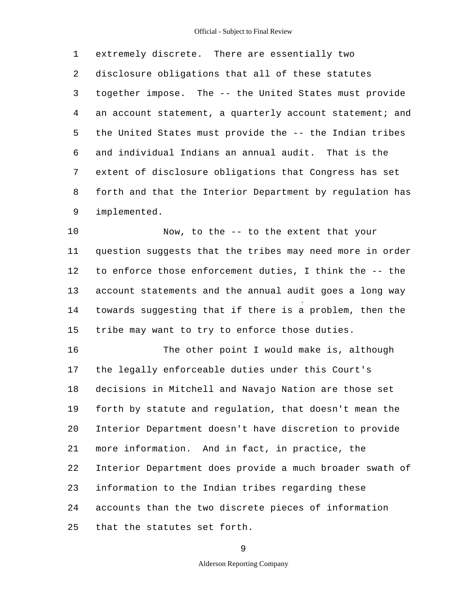#### Official - Subject to Final Review

5 1 extremely discrete. There are essentially two 2 disclosure obligations that all of these statutes 3 together impose. The -- the United States must provide 4 an account statement, a quarterly account statement; and the United States must provide the -- the Indian tribes 6 and individual Indians an annual audit. That is the 7 extent of disclosure obligations that Congress has set 8 forth and that the Interior Department by regulation has 9 implemented.

10 15 Now, to the -- to the extent that your 11 question suggests that the tribes may need more in order 12 to enforce those enforcement duties, I think the -- the 13 account statements and the annual audit goes a long way 14 towards suggesting that if there is a problem, then the tribe may want to try to enforce those duties.

20 25 16 The other point I would make is, although 17 the legally enforceable duties under this Court's 18 decisions in Mitchell and Navajo Nation are those set 19 forth by statute and regulation, that doesn't mean the Interior Department doesn't have discretion to provide 21 more information. And in fact, in practice, the 22 Interior Department does provide a much broader swath of 23 information to the Indian tribes regarding these 24 accounts than the two discrete pieces of information that the statutes set forth.

9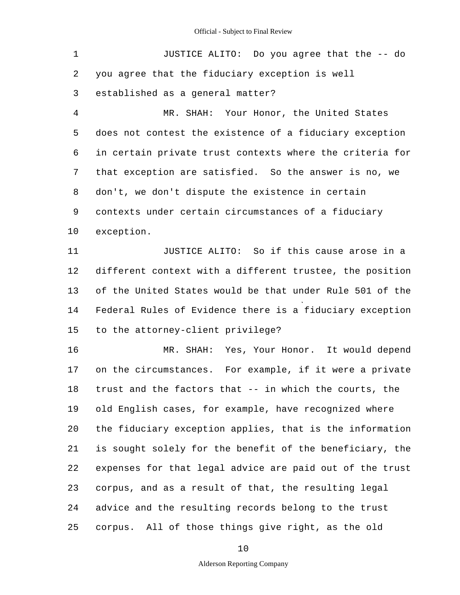5 10 15 20 25 1 JUSTICE ALITO: Do you agree that the -- do 2 you agree that the fiduciary exception is well 3 established as a general matter? 4 MR. SHAH: Your Honor, the United States does not contest the existence of a fiduciary exception 6 in certain private trust contexts where the criteria for 7 that exception are satisfied. So the answer is no, we 8 don't, we don't dispute the existence in certain 9 contexts under certain circumstances of a fiduciary exception. 11 JUSTICE ALITO: So if this cause arose in a 12 different context with a different trustee, the position 13 of the United States would be that under Rule 501 of the 14 Federal Rules of Evidence there is a fiduciary exception to the attorney-client privilege? 16 MR. SHAH: Yes, Your Honor. It would depend 17 on the circumstances. For example, if it were a private 18 trust and the factors that -- in which the courts, the 19 old English cases, for example, have recognized where the fiduciary exception applies, that is the information 21 is sought solely for the benefit of the beneficiary, the 22 expenses for that legal advice are paid out of the trust 23 corpus, and as a result of that, the resulting legal 24 advice and the resulting records belong to the trust corpus. All of those things give right, as the old

10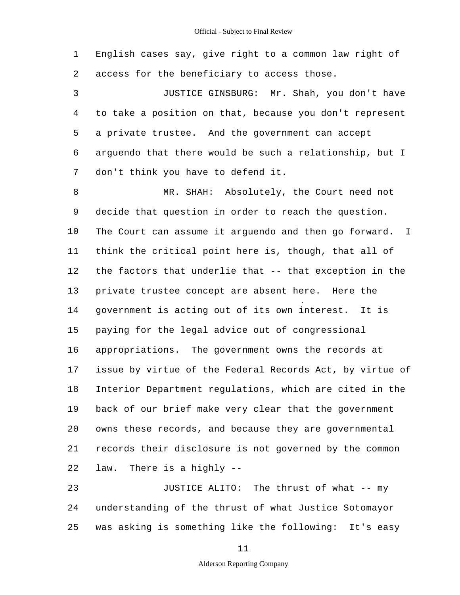1 English cases say, give right to a common law right of 2 access for the beneficiary to access those.

5 3 JUSTICE GINSBURG: Mr. Shah, you don't have 4 to take a position on that, because you don't represent a private trustee. And the government can accept 6 arguendo that there would be such a relationship, but I 7 don't think you have to defend it.

10 15 20 8 MR. SHAH: Absolutely, the Court need not 9 decide that question in order to reach the question. The Court can assume it arguendo and then go forward. I 11 think the critical point here is, though, that all of 12 the factors that underlie that -- that exception in the 13 private trustee concept are absent here. Here the 14 government is acting out of its own interest. It is paying for the legal advice out of congressional 16 appropriations. The government owns the records at 17 issue by virtue of the Federal Records Act, by virtue of 18 Interior Department regulations, which are cited in the 19 back of our brief make very clear that the government owns these records, and because they are governmental 21 records their disclosure is not governed by the common 22 law. There is a highly -

25 23 JUSTICE ALITO: The thrust of what -- my 24 understanding of the thrust of what Justice Sotomayor was asking is something like the following: It's easy

11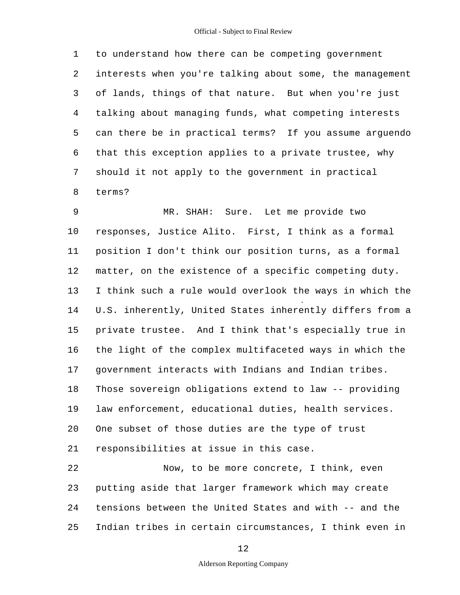#### Official - Subject to Final Review

5 1 to understand how there can be competing government 2 interests when you're talking about some, the management 3 of lands, things of that nature. But when you're just 4 talking about managing funds, what competing interests can there be in practical terms? If you assume arguendo 6 that this exception applies to a private trustee, why 7 should it not apply to the government in practical 8 terms?

10 15 20 9 MR. SHAH: Sure. Let me provide two responses, Justice Alito. First, I think as a formal 11 position I don't think our position turns, as a formal 12 matter, on the existence of a specific competing duty. 13 I think such a rule would overlook the ways in which the 14 U.S. inherently, United States inherently differs from a private trustee. And I think that's especially true in 16 the light of the complex multifaceted ways in which the 17 government interacts with Indians and Indian tribes. 18 Those sovereign obligations extend to law -- providing 19 law enforcement, educational duties, health services. One subset of those duties are the type of trust 21 responsibilities at issue in this case. 22 Now, to be more concrete, I think, even

25 23 putting aside that larger framework which may create 24 tensions between the United States and with -- and the Indian tribes in certain circumstances, I think even in

12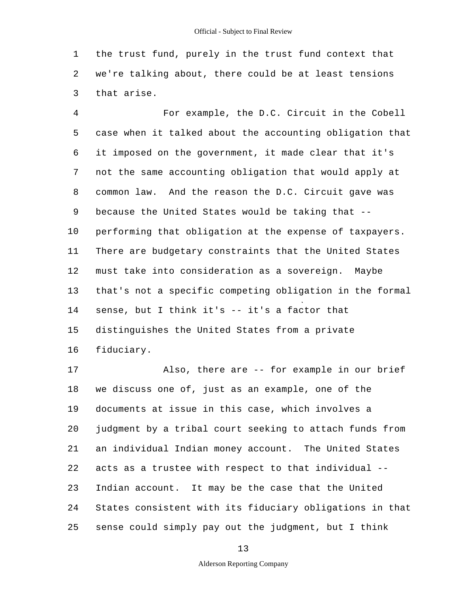1 the trust fund, purely in the trust fund context that 2 we're talking about, there could be at least tensions 3 that arise.

5 10 15 4 For example, the D.C. Circuit in the Cobell case when it talked about the accounting obligation that 6 it imposed on the government, it made clear that it's 7 not the same accounting obligation that would apply at 8 common law. And the reason the D.C. Circuit gave was 9 because the United States would be taking that performing that obligation at the expense of taxpayers. 11 There are budgetary constraints that the United States 12 must take into consideration as a sovereign. Maybe 13 that's not a specific competing obligation in the formal 14 sense, but I think it's -- it's a factor that distinguishes the United States from a private 16 fiduciary.

20 25 17 Also, there are -- for example in our brief 18 we discuss one of, just as an example, one of the 19 documents at issue in this case, which involves a judgment by a tribal court seeking to attach funds from 21 an individual Indian money account. The United States 22 acts as a trustee with respect to that individual - 23 Indian account. It may be the case that the United 24 States consistent with its fiduciary obligations in that sense could simply pay out the judgment, but I think

13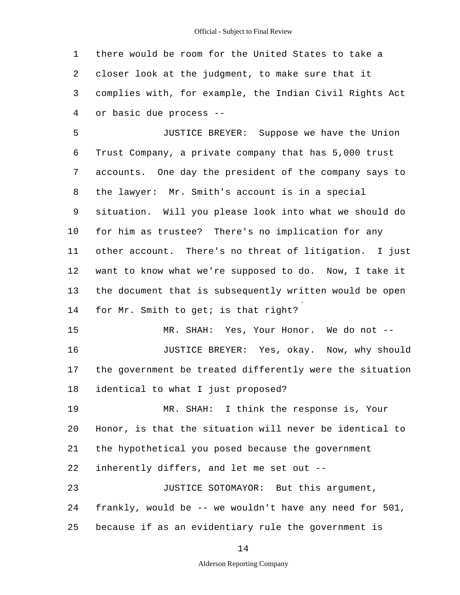Official - Subject to Final Review

1 there would be room for the United States to take a 2 closer look at the judgment, to make sure that it 3 complies with, for example, the Indian Civil Rights Act 4 or basic due process -

5 10 JUSTICE BREYER: Suppose we have the Union 6 Trust Company, a private company that has 5,000 trust 7 accounts. One day the president of the company says to 8 the lawyer: Mr. Smith's account is in a special 9 situation. Will you please look into what we should do for him as trustee? There's no implication for any 11 other account. There's no threat of litigation. I just 12 want to know what we're supposed to do. Now, I take it 13 the document that is subsequently written would be open 14 for Mr. Smith to get; is that right?

15 MR. SHAH: Yes, Your Honor. We do not --16 JUSTICE BREYER: Yes, okay. Now, why should 17 the government be treated differently were the situation 18 identical to what I just proposed?

20 19 MR. SHAH: I think the response is, Your Honor, is that the situation will never be identical to 21 the hypothetical you posed because the government 22 inherently differs, and let me set out -

25 23 JUSTICE SOTOMAYOR: But this argument, 24 frankly, would be -- we wouldn't have any need for 501, because if as an evidentiary rule the government is

14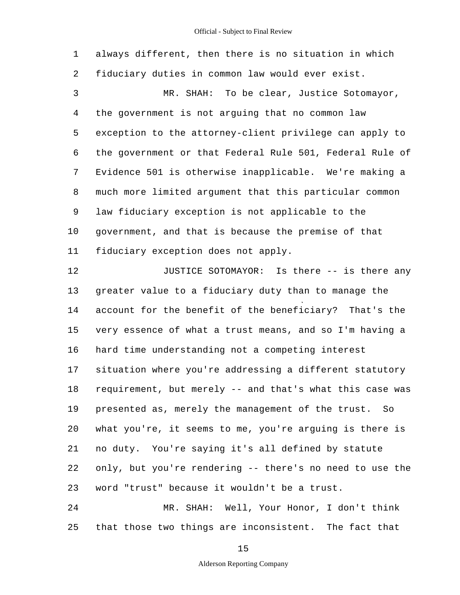5 10 15 20 1 always different, then there is no situation in which 2 fiduciary duties in common law would ever exist. 3 MR. SHAH: To be clear, Justice Sotomayor, 4 the government is not arguing that no common law exception to the attorney-client privilege can apply to 6 the government or that Federal Rule 501, Federal Rule of 7 Evidence 501 is otherwise inapplicable. We're making a 8 much more limited argument that this particular common 9 law fiduciary exception is not applicable to the government, and that is because the premise of that 11 fiduciary exception does not apply. 12 **JUSTICE SOTOMAYOR:** Is there -- is there any 13 greater value to a fiduciary duty than to manage the 14 account for the benefit of the beneficiary? That's the very essence of what a trust means, and so I'm having a 16 hard time understanding not a competing interest 17 situation where you're addressing a different statutory 18 requirement, but merely -- and that's what this case was 19 presented as, merely the management of the trust. So what you're, it seems to me, you're arguing is there is 21 no duty. You're saying it's all defined by statute 22 only, but you're rendering -- there's no need to use the

23 word "trust" because it wouldn't be a trust.

25 24 MR. SHAH: Well, Your Honor, I don't think that those two things are inconsistent. The fact that

15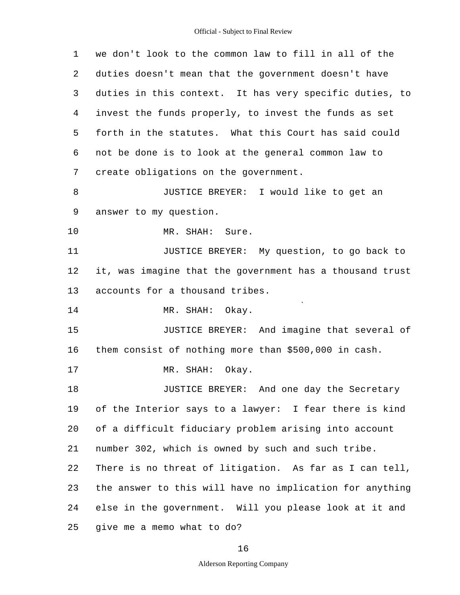| 1  | we don't look to the common law to fill in all of the    |  |  |  |  |  |
|----|----------------------------------------------------------|--|--|--|--|--|
| 2  | duties doesn't mean that the government doesn't have     |  |  |  |  |  |
| 3  | duties in this context. It has very specific duties, to  |  |  |  |  |  |
| 4  | invest the funds properly, to invest the funds as set    |  |  |  |  |  |
| 5  | forth in the statutes. What this Court has said could    |  |  |  |  |  |
| 6  | not be done is to look at the general common law to      |  |  |  |  |  |
| 7  | create obligations on the government.                    |  |  |  |  |  |
| 8  | JUSTICE BREYER: I would like to get an                   |  |  |  |  |  |
| 9  | answer to my question.                                   |  |  |  |  |  |
| 10 | MR. SHAH:<br>Sure.                                       |  |  |  |  |  |
| 11 | JUSTICE BREYER: My question, to go back to               |  |  |  |  |  |
| 12 | it, was imagine that the government has a thousand trust |  |  |  |  |  |
| 13 | accounts for a thousand tribes.                          |  |  |  |  |  |
| 14 | MR. SHAH: Okay.                                          |  |  |  |  |  |
| 15 | JUSTICE BREYER: And imagine that several of              |  |  |  |  |  |
| 16 | them consist of nothing more than \$500,000 in cash.     |  |  |  |  |  |
| 17 | Okay.<br>MR.<br>SHAH:                                    |  |  |  |  |  |
| 18 | JUSTICE BREYER: And one day the Secretary                |  |  |  |  |  |
| 19 | of the Interior says to a lawyer: I fear there is kind   |  |  |  |  |  |
| 20 | of a difficult fiduciary problem arising into account    |  |  |  |  |  |
| 21 | number 302, which is owned by such and such tribe.       |  |  |  |  |  |
| 22 | There is no threat of litigation. As far as I can tell,  |  |  |  |  |  |
| 23 | the answer to this will have no implication for anything |  |  |  |  |  |
| 24 | else in the government. Will you please look at it and   |  |  |  |  |  |
| 25 | give me a memo what to do?                               |  |  |  |  |  |

16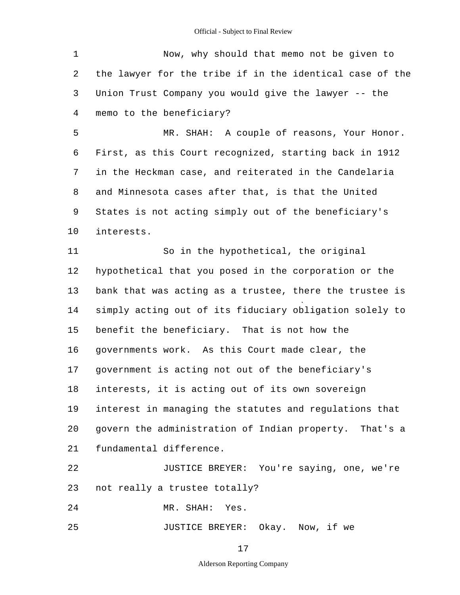5 1 Now, why should that memo not be given to 2 the lawyer for the tribe if in the identical case of the 3 Union Trust Company you would give the lawyer -- the 4 memo to the beneficiary? MR. SHAH: A couple of reasons, Your Honor.

10 6 First, as this Court recognized, starting back in 1912 7 in the Heckman case, and reiterated in the Candelaria 8 and Minnesota cases after that, is that the United 9 States is not acting simply out of the beneficiary's interests.

15 20 11 So in the hypothetical, the original 12 hypothetical that you posed in the corporation or the 13 bank that was acting as a trustee, there the trustee is 14 simply acting out of its fiduciary obligation solely to benefit the beneficiary. That is not how the 16 governments work. As this Court made clear, the 17 government is acting not out of the beneficiary's 18 interests, it is acting out of its own sovereign 19 interest in managing the statutes and regulations that govern the administration of Indian property. That's a 21 fundamental difference.

22 JUSTICE BREYER: You're saying, one, we're 23 not really a trustee totally?

24 MR. SHAH: Yes.

25 JUSTICE BREYER: Okay. Now, if we

17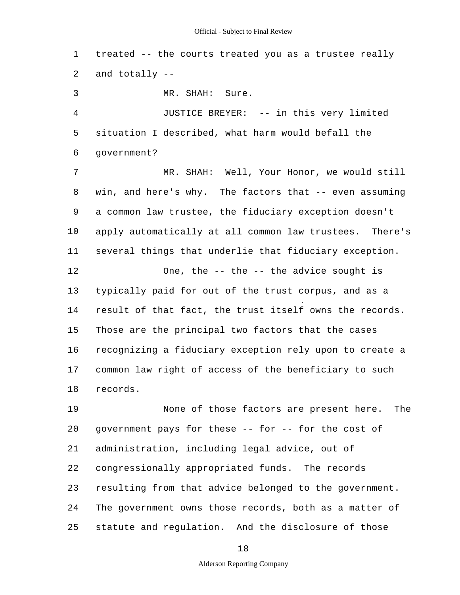1 treated -- the courts treated you as a trustee really 2 and totally -

5 10 15 3 MR. SHAH: Sure. 4 JUSTICE BREYER: -- in this very limited situation I described, what harm would befall the 6 government? 7 MR. SHAH: Well, Your Honor, we would still 8 win, and here's why. The factors that -- even assuming 9 a common law trustee, the fiduciary exception doesn't apply automatically at all common law trustees. There's 11 several things that underlie that fiduciary exception. 12 One, the -- the -- the advice sought is 13 typically paid for out of the trust corpus, and as a 14 result of that fact, the trust itself owns the records. Those are the principal two factors that the cases 16 recognizing a fiduciary exception rely upon to create a 17 common law right of access of the beneficiary to such 18 records.

20 25 19 None of those factors are present here. The government pays for these -- for -- for the cost of 21 administration, including legal advice, out of 22 congressionally appropriated funds. The records 23 resulting from that advice belonged to the government. 24 The government owns those records, both as a matter of statute and regulation. And the disclosure of those

18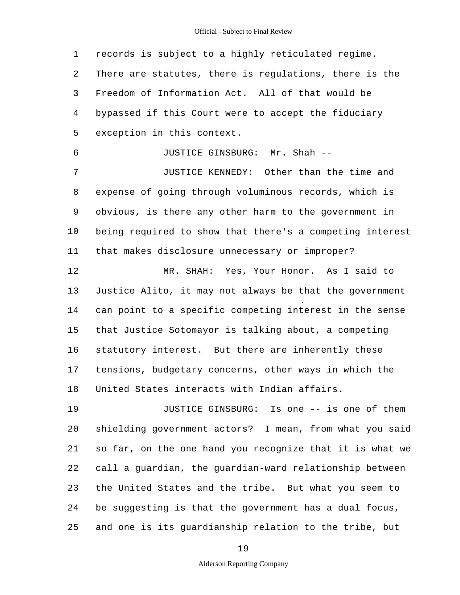5 10 15 20 1 records is subject to a highly reticulated regime. 2 There are statutes, there is regulations, there is the 3 Freedom of Information Act. All of that would be 4 bypassed if this Court were to accept the fiduciary exception in this context. 6 JUSTICE GINSBURG: Mr. Shah - 7 JUSTICE KENNEDY: Other than the time and 8 expense of going through voluminous records, which is 9 obvious, is there any other harm to the government in being required to show that there's a competing interest 11 that makes disclosure unnecessary or improper? 12 MR. SHAH: Yes, Your Honor. As I said to 13 Justice Alito, it may not always be that the government 14 can point to a specific competing interest in the sense that Justice Sotomayor is talking about, a competing 16 statutory interest. But there are inherently these 17 tensions, budgetary concerns, other ways in which the 18 United States interacts with Indian affairs. 19 JUSTICE GINSBURG: Is one -- is one of them shielding government actors? I mean, from what you said

25 21 so far, on the one hand you recognize that it is what we 22 call a guardian, the guardian-ward relationship between 23 the United States and the tribe. But what you seem to 24 be suggesting is that the government has a dual focus, and one is its guardianship relation to the tribe, but

19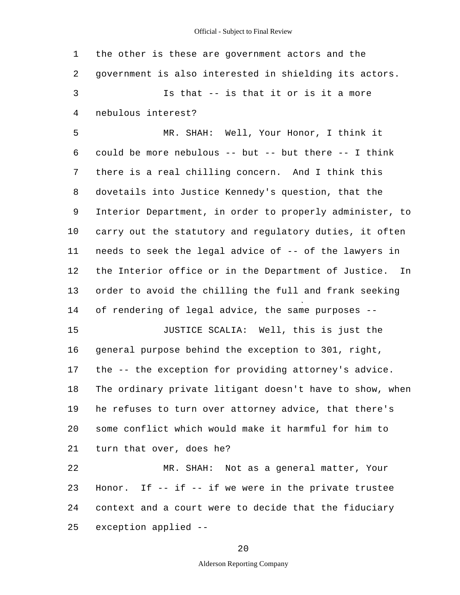| 1  | the other is these are government actors and the                 |
|----|------------------------------------------------------------------|
| 2  | government is also interested in shielding its actors.           |
| 3  | Is that -- is that it or is it a more                            |
| 4  | nebulous interest?                                               |
| 5  | MR. SHAH: Well, Your Honor, I think it                           |
| 6  | could be more nebulous -- but -- but there -- I think            |
| 7  | there is a real chilling concern. And I think this               |
| 8  | dovetails into Justice Kennedy's question, that the              |
| 9  | Interior Department, in order to properly administer, to         |
| 10 | carry out the statutory and regulatory duties, it often          |
| 11 | needs to seek the legal advice of -- of the lawyers in           |
| 12 | the Interior office or in the Department of Justice. In          |
| 13 | order to avoid the chilling the full and frank seeking           |
| 14 | of rendering of legal advice, the same purposes --               |
| 15 | JUSTICE SCALIA: Well, this is just the                           |
| 16 | general purpose behind the exception to 301, right,              |
| 17 | the -- the exception for providing attorney's advice.            |
| 18 | $-1$<br>The ordinary private litigant doesn't have to show, when |
| 19 | he refuses to turn over attorney advice, that there's            |
| 20 | some conflict which would make it harmful for him to             |
| 21 | turn that over, does he?                                         |
| 22 | MR. SHAH: Not as a general matter, Your                          |
| 23 | Honor. If $--$ if $--$ if we were in the private trustee         |
| 24 | context and a court were to decide that the fiduciary            |
| 25 | exception applied --                                             |

20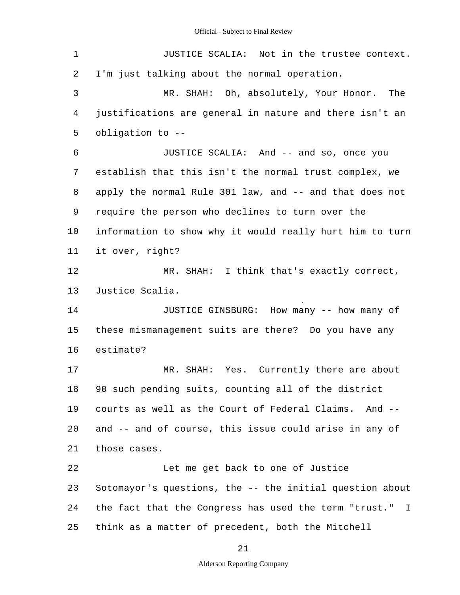| $\mathbf 1$ | JUSTICE SCALIA: Not in the trustee context.                 |  |  |  |  |  |
|-------------|-------------------------------------------------------------|--|--|--|--|--|
| 2           | I'm just talking about the normal operation.                |  |  |  |  |  |
| 3           | MR. SHAH: Oh, absolutely, Your Honor. The                   |  |  |  |  |  |
| 4           | justifications are general in nature and there isn't an     |  |  |  |  |  |
| 5           | obligation to --                                            |  |  |  |  |  |
| 6           | JUSTICE SCALIA: And -- and so, once you                     |  |  |  |  |  |
| 7           | establish that this isn't the normal trust complex, we      |  |  |  |  |  |
| 8           | apply the normal Rule 301 law, and -- and that does not     |  |  |  |  |  |
| 9           | require the person who declines to turn over the            |  |  |  |  |  |
| $10 \,$     | information to show why it would really hurt him to turn    |  |  |  |  |  |
| 11          | it over, right?                                             |  |  |  |  |  |
| 12          | MR. SHAH: I think that's exactly correct,                   |  |  |  |  |  |
| 13          | Justice Scalia.                                             |  |  |  |  |  |
| 14          | JUSTICE GINSBURG: How many -- how many of                   |  |  |  |  |  |
| 15          | these mismanagement suits are there? Do you have any        |  |  |  |  |  |
| 16          | estimate?                                                   |  |  |  |  |  |
| 17          | MR. SHAH: Yes. Currently there are about                    |  |  |  |  |  |
| 18          | 90 such pending suits, counting all of the district         |  |  |  |  |  |
| 19          | courts as well as the Court of Federal Claims. And --       |  |  |  |  |  |
| 20          | and -- and of course, this issue could arise in any of      |  |  |  |  |  |
| 21          | those cases.                                                |  |  |  |  |  |
| 22          | Let me get back to one of Justice                           |  |  |  |  |  |
| 23          | Sotomayor's questions, the -- the initial question about    |  |  |  |  |  |
| 24          |                                                             |  |  |  |  |  |
|             | the fact that the Congress has used the term "trust."<br>I. |  |  |  |  |  |

21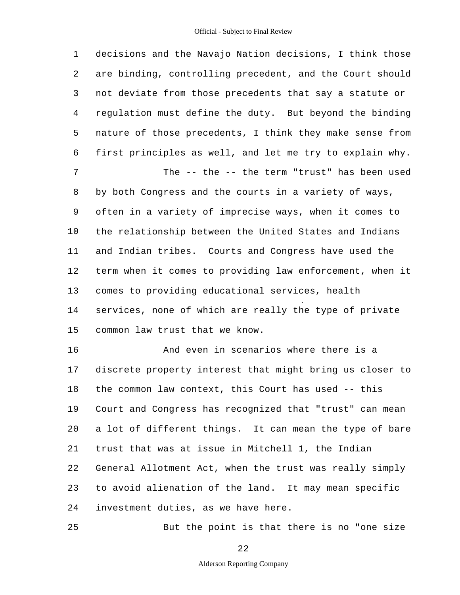5 10 15 20 1 decisions and the Navajo Nation decisions, I think those 2 are binding, controlling precedent, and the Court should 3 not deviate from those precedents that say a statute or 4 regulation must define the duty. But beyond the binding nature of those precedents, I think they make sense from 6 first principles as well, and let me try to explain why. 7 The -- the -- the term "trust" has been used 8 by both Congress and the courts in a variety of ways, 9 often in a variety of imprecise ways, when it comes to the relationship between the United States and Indians 11 and Indian tribes. Courts and Congress have used the 12 term when it comes to providing law enforcement, when it 13 comes to providing educational services, health 14 services, none of which are really the type of private common law trust that we know. 16 And even in scenarios where there is a 17 discrete property interest that might bring us closer to 18 the common law context, this Court has used -- this 19 Court and Congress has recognized that "trust" can mean a lot of different things. It can mean the type of bare

21 trust that was at issue in Mitchell 1, the Indian

22 General Allotment Act, when the trust was really simply

23 to avoid alienation of the land. It may mean specific

24 investment duties, as we have here.

25

But the point is that there is no "one size

22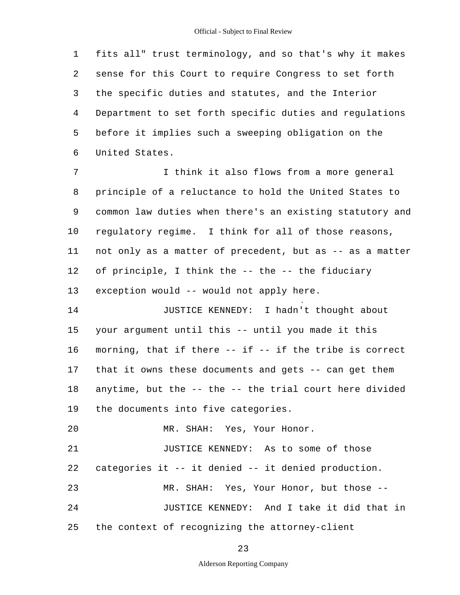5 1 fits all" trust terminology, and so that's why it makes 2 sense for this Court to require Congress to set forth 3 the specific duties and statutes, and the Interior 4 Department to set forth specific duties and regulations before it implies such a sweeping obligation on the 6 United States.

10 7 1 I think it also flows from a more general 8 principle of a reluctance to hold the United States to 9 common law duties when there's an existing statutory and regulatory regime. I think for all of those reasons, 11 not only as a matter of precedent, but as -- as a matter 12 of principle, I think the -- the -- the fiduciary 13 exception would -- would not apply here.

15 14 JUSTICE KENNEDY: I hadn't thought about your argument until this -- until you made it this 16 morning, that if there -- if -- if the tribe is correct 17 that it owns these documents and gets -- can get them 18 anytime, but the -- the -- the trial court here divided 19 the documents into five categories.

20 MR. SHAH: Yes, Your Honor.

25 21 JUSTICE KENNEDY: As to some of those 22 categories it -- it denied -- it denied production. 23 MR. SHAH: Yes, Your Honor, but those - 24 JUSTICE KENNEDY: And I take it did that in the context of recognizing the attorney-client

23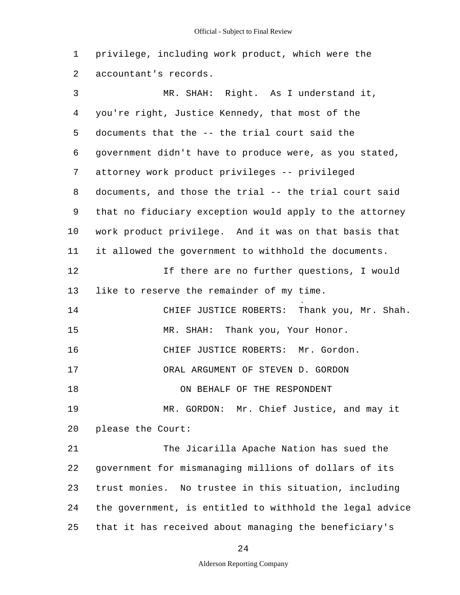1 privilege, including work product, which were the 2 accountant's records.

5 10 15 20 25 3 MR. SHAH: Right. As I understand it, 4 you're right, Justice Kennedy, that most of the documents that the -- the trial court said the 6 government didn't have to produce were, as you stated, 7 attorney work product privileges -- privileged 8 documents, and those the trial -- the trial court said 9 that no fiduciary exception would apply to the attorney work product privilege. And it was on that basis that 11 it allowed the government to withhold the documents. 12 If there are no further questions, I would 13 like to reserve the remainder of my time. 14 CHIEF JUSTICE ROBERTS: Thank you, Mr. Shah. MR. SHAH: Thank you, Your Honor. 16 CHIEF JUSTICE ROBERTS: Mr. Gordon. 17 ORAL ARGUMENT OF STEVEN D. GORDON 18 ON BEHALF OF THE RESPONDENT 19 MR. GORDON: Mr. Chief Justice, and may it please the Court: 21 The Jicarilla Apache Nation has sued the 22 government for mismanaging millions of dollars of its 23 trust monies. No trustee in this situation, including 24 the government, is entitled to withhold the legal advice that it has received about managing the beneficiary's

24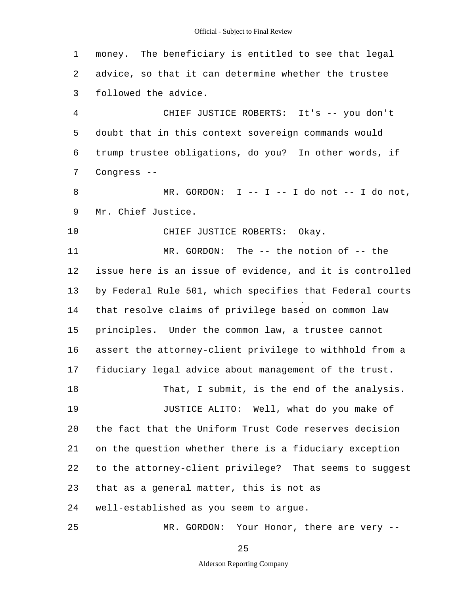1 money. The beneficiary is entitled to see that legal 2 advice, so that it can determine whether the trustee 3 followed the advice.

5 4 CHIEF JUSTICE ROBERTS: It's -- you don't doubt that in this context sovereign commands would 6 trump trustee obligations, do you? In other words, if 7 Congress -

8 MR. GORDON: I -- I -- I do not -- I do not, 9 Mr. Chief Justice.

10 CHIEF JUSTICE ROBERTS: Okay.

15 11 MR. GORDON: The -- the notion of -- the 12 issue here is an issue of evidence, and it is controlled 13 by Federal Rule 501, which specifies that Federal courts 14 that resolve claims of privilege based on common law principles. Under the common law, a trustee cannot 16 assert the attorney-client privilege to withhold from a 17 fiduciary legal advice about management of the trust. 18 That, I submit, is the end of the analysis.

20 19 JUSTICE ALITO: Well, what do you make of the fact that the Uniform Trust Code reserves decision 21 on the question whether there is a fiduciary exception 22 to the attorney-client privilege? That seems to suggest 23 that as a general matter, this is not as 24 well-established as you seem to argue.

25 MR. GORDON: Your Honor, there are very --

25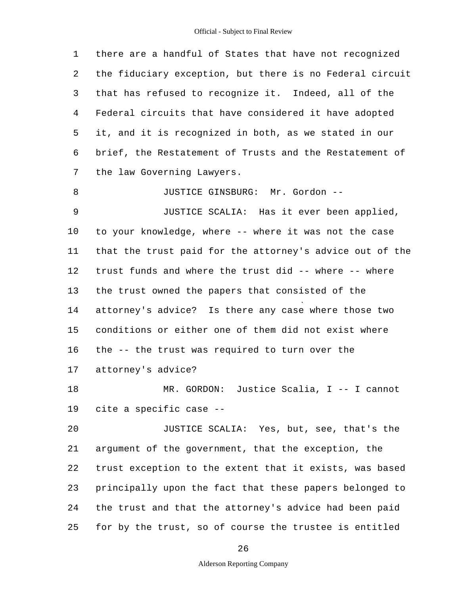| 1  | there are a handful of States that have not recognized   |  |  |  |  |  |
|----|----------------------------------------------------------|--|--|--|--|--|
| 2  | the fiduciary exception, but there is no Federal circuit |  |  |  |  |  |
| 3  | that has refused to recognize it. Indeed, all of the     |  |  |  |  |  |
| 4  | Federal circuits that have considered it have adopted    |  |  |  |  |  |
| 5  | it, and it is recognized in both, as we stated in our    |  |  |  |  |  |
| 6  | brief, the Restatement of Trusts and the Restatement of  |  |  |  |  |  |
| 7  | the law Governing Lawyers.                               |  |  |  |  |  |
| 8  | JUSTICE GINSBURG: Mr. Gordon --                          |  |  |  |  |  |
| 9  | JUSTICE SCALIA: Has it ever been applied,                |  |  |  |  |  |
| 10 | to your knowledge, where -- where it was not the case    |  |  |  |  |  |
| 11 | that the trust paid for the attorney's advice out of the |  |  |  |  |  |
| 12 | trust funds and where the trust did -- where -- where    |  |  |  |  |  |
| 13 | the trust owned the papers that consisted of the         |  |  |  |  |  |
| 14 | attorney's advice? Is there any case where those two     |  |  |  |  |  |
| 15 | conditions or either one of them did not exist where     |  |  |  |  |  |
| 16 | the -- the trust was required to turn over the           |  |  |  |  |  |
| 17 | attorney's advice?                                       |  |  |  |  |  |
| 18 | MR. GORDON: Justice Scalia, I -- I cannot                |  |  |  |  |  |
| 19 | cite a specific case --                                  |  |  |  |  |  |
| 20 | JUSTICE SCALIA: Yes, but, see, that's the                |  |  |  |  |  |
| 21 | argument of the government, that the exception, the      |  |  |  |  |  |
| 22 | trust exception to the extent that it exists, was based  |  |  |  |  |  |
| 23 | principally upon the fact that these papers belonged to  |  |  |  |  |  |
| 24 | the trust and that the attorney's advice had been paid   |  |  |  |  |  |
| 25 | for by the trust, so of course the trustee is entitled   |  |  |  |  |  |

26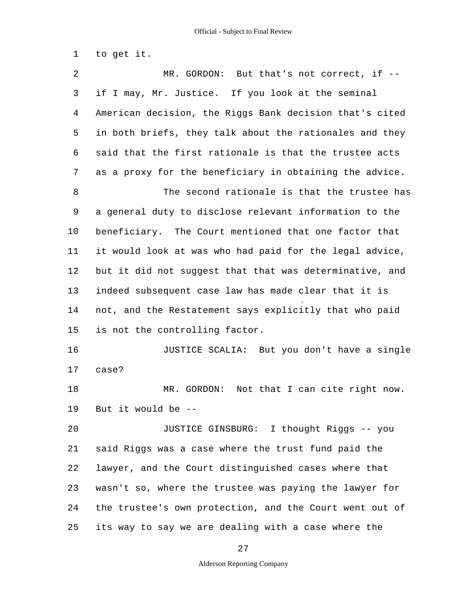1 to get it.

5 10 15 20 25 2 MR. GORDON: But that's not correct, if --3 if I may, Mr. Justice. If you look at the seminal 4 American decision, the Riggs Bank decision that's cited in both briefs, they talk about the rationales and they 6 said that the first rationale is that the trustee acts 7 as a proxy for the beneficiary in obtaining the advice. 8 The second rationale is that the trustee has 9 a general duty to disclose relevant information to the beneficiary. The Court mentioned that one factor that 11 it would look at was who had paid for the legal advice, 12 but it did not suggest that that was determinative, and 13 indeed subsequent case law has made clear that it is 14 not, and the Restatement says explicitly that who paid is not the controlling factor. 16 JUSTICE SCALIA: But you don't have a single 17 case? 18 MR. GORDON: Not that I can cite right now. 19 But it would be - JUSTICE GINSBURG: I thought Riggs -- you 21 said Riggs was a case where the trust fund paid the 22 lawyer, and the Court distinguished cases where that 23 wasn't so, where the trustee was paying the lawyer for 24 the trustee's own protection, and the Court went out of its way to say we are dealing with a case where the

27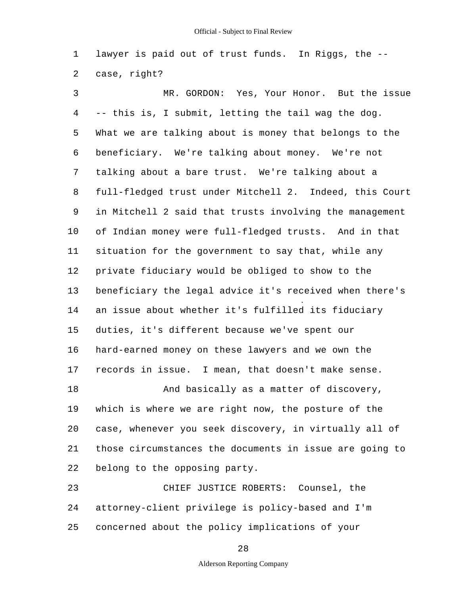1 lawyer is paid out of trust funds. In Riggs, the - 2 case, right?

5 10 15 20 3 MR. GORDON: Yes, Your Honor. But the issue 4 -- this is, I submit, letting the tail wag the dog. What we are talking about is money that belongs to the 6 beneficiary. We're talking about money. We're not 7 talking about a bare trust. We're talking about a 8 full-fledged trust under Mitchell 2. Indeed, this Court 9 in Mitchell 2 said that trusts involving the management of Indian money were full-fledged trusts. And in that 11 situation for the government to say that, while any 12 private fiduciary would be obliged to show to the 13 beneficiary the legal advice it's received when there's 14 an issue about whether it's fulfilled its fiduciary duties, it's different because we've spent our 16 hard-earned money on these lawyers and we own the 17 records in issue. I mean, that doesn't make sense. 18 And basically as a matter of discovery, 19 which is where we are right now, the posture of the case, whenever you seek discovery, in virtually all of 21 those circumstances the documents in issue are going to 22 belong to the opposing party.

25 23 CHIEF JUSTICE ROBERTS: Counsel, the 24 attorney-client privilege is policy-based and I'm concerned about the policy implications of your

28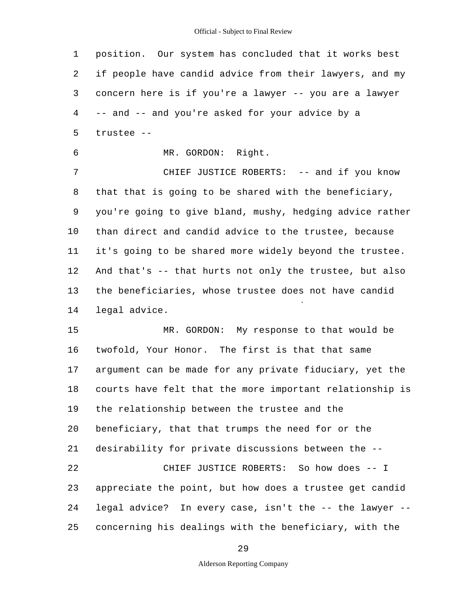| $\mathbf 1$ | position. Our system has concluded that it works best    |  |  |  |  |  |
|-------------|----------------------------------------------------------|--|--|--|--|--|
| 2           | if people have candid advice from their lawyers, and my  |  |  |  |  |  |
| 3           | concern here is if you're a lawyer -- you are a lawyer   |  |  |  |  |  |
| 4           | -- and -- and you're asked for your advice by a          |  |  |  |  |  |
| 5           | trustee --                                               |  |  |  |  |  |
| 6           | MR. GORDON: Right.                                       |  |  |  |  |  |
| 7           | CHIEF JUSTICE ROBERTS: -- and if you know                |  |  |  |  |  |
| 8           | that that is going to be shared with the beneficiary,    |  |  |  |  |  |
| 9           | you're going to give bland, mushy, hedging advice rather |  |  |  |  |  |
| 10          | than direct and candid advice to the trustee, because    |  |  |  |  |  |
| 11          | it's going to be shared more widely beyond the trustee.  |  |  |  |  |  |
| 12          | And that's -- that hurts not only the trustee, but also  |  |  |  |  |  |
| 13          | the beneficiaries, whose trustee does not have candid    |  |  |  |  |  |
| 14          | legal advice.                                            |  |  |  |  |  |
| 15          | MR. GORDON: My response to that would be                 |  |  |  |  |  |
| 16          | twofold, Your Honor. The first is that that same         |  |  |  |  |  |
| 17          | argument can be made for any private fiduciary, yet the  |  |  |  |  |  |
| 18          | courts have felt that the more important relationship is |  |  |  |  |  |
| 19          | the relationship between the trustee and the             |  |  |  |  |  |
| 20          | beneficiary, that that trumps the need for or the        |  |  |  |  |  |
| 21          | desirability for private discussions between the --      |  |  |  |  |  |
| 22          | CHIEF JUSTICE ROBERTS: So how does -- I                  |  |  |  |  |  |
| 23          | appreciate the point, but how does a trustee get candid  |  |  |  |  |  |
| 24          | legal advice? In every case, isn't the -- the lawyer --  |  |  |  |  |  |
| 25          | concerning his dealings with the beneficiary, with the   |  |  |  |  |  |

29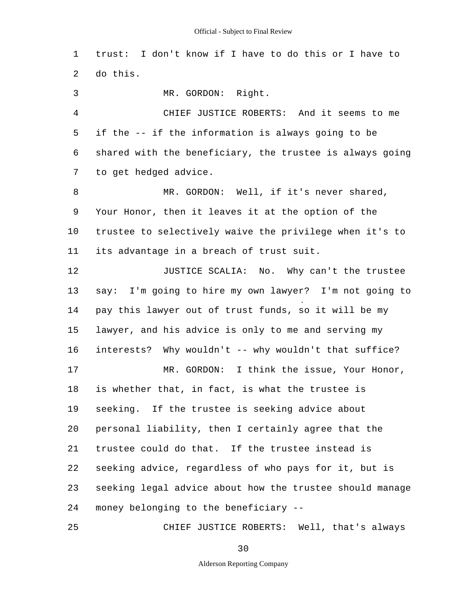1 trust: I don't know if I have to do this or I have to 2 do this.

3 MR. GORDON: Right.

5 4 CHIEF JUSTICE ROBERTS: And it seems to me if the -- if the information is always going to be 6 shared with the beneficiary, the trustee is always going 7 to get hedged advice.

10 8 MR. GORDON: Well, if it's never shared, 9 Your Honor, then it leaves it at the option of the trustee to selectively waive the privilege when it's to 11 its advantage in a breach of trust suit.

15 20 12 **JUSTICE SCALIA:** No. Why can't the trustee 13 say: I'm going to hire my own lawyer? I'm not going to 14 pay this lawyer out of trust funds, so it will be my lawyer, and his advice is only to me and serving my 16 interests? Why wouldn't -- why wouldn't that suffice? 17 MR. GORDON: I think the issue, Your Honor, 18 is whether that, in fact, is what the trustee is 19 seeking. If the trustee is seeking advice about personal liability, then I certainly agree that the 21 trustee could do that. If the trustee instead is 22 seeking advice, regardless of who pays for it, but is 23 seeking legal advice about how the trustee should manage 24 money belonging to the beneficiary -

25 CHIEF JUSTICE ROBERTS: Well, that's always

30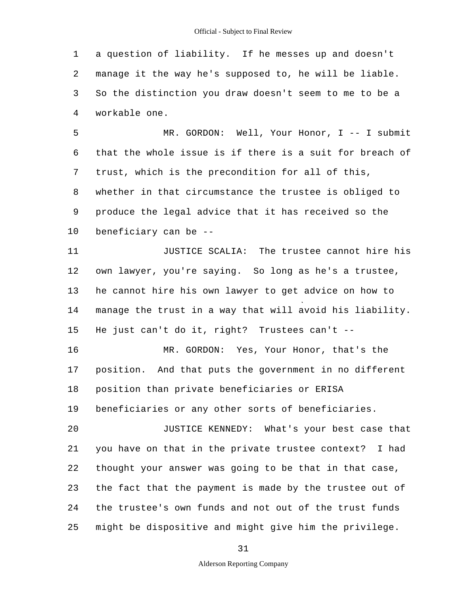1 a question of liability. If he messes up and doesn't 2 manage it the way he's supposed to, he will be liable. 3 So the distinction you draw doesn't seem to me to be a 4 workable one.

5 10 MR. GORDON: Well, Your Honor, I -- I submit 6 that the whole issue is if there is a suit for breach of 7 trust, which is the precondition for all of this, 8 whether in that circumstance the trustee is obliged to 9 produce the legal advice that it has received so the beneficiary can be -

15 20 11 JUSTICE SCALIA: The trustee cannot hire his 12 own lawyer, you're saying. So long as he's a trustee, 13 he cannot hire his own lawyer to get advice on how to 14 manage the trust in a way that will avoid his liability. He just can't do it, right? Trustees can't - 16 MR. GORDON: Yes, Your Honor, that's the 17 position. And that puts the government in no different 18 position than private beneficiaries or ERISA 19 beneficiaries or any other sorts of beneficiaries. JUSTICE KENNEDY: What's your best case that 21 you have on that in the private trustee context? I had 22 thought your answer was going to be that in that case, 23 the fact that the payment is made by the trustee out of 24 the trustee's own funds and not out of the trust funds

25 might be dispositive and might give him the privilege.

31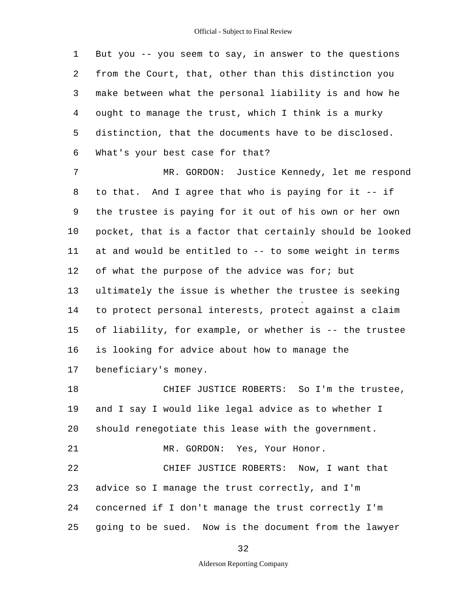5 1 But you -- you seem to say, in answer to the questions 2 from the Court, that, other than this distinction you 3 make between what the personal liability is and how he 4 ought to manage the trust, which I think is a murky distinction, that the documents have to be disclosed. 6 What's your best case for that?

10 15 7 MR. GORDON: Justice Kennedy, let me respond 8 to that. And I agree that who is paying for it -- if 9 the trustee is paying for it out of his own or her own pocket, that is a factor that certainly should be looked 11 at and would be entitled to -- to some weight in terms 12 of what the purpose of the advice was for; but 13 ultimately the issue is whether the trustee is seeking 14 to protect personal interests, protect against a claim of liability, for example, or whether is -- the trustee 16 is looking for advice about how to manage the 17 beneficiary's money.

20 25 18 CHIEF JUSTICE ROBERTS: So I'm the trustee, 19 and I say I would like legal advice as to whether I should renegotiate this lease with the government. 21 MR. GORDON: Yes, Your Honor. 22 CHIEF JUSTICE ROBERTS: Now, I want that 23 advice so I manage the trust correctly, and I'm 24 concerned if I don't manage the trust correctly I'm going to be sued. Now is the document from the lawyer

32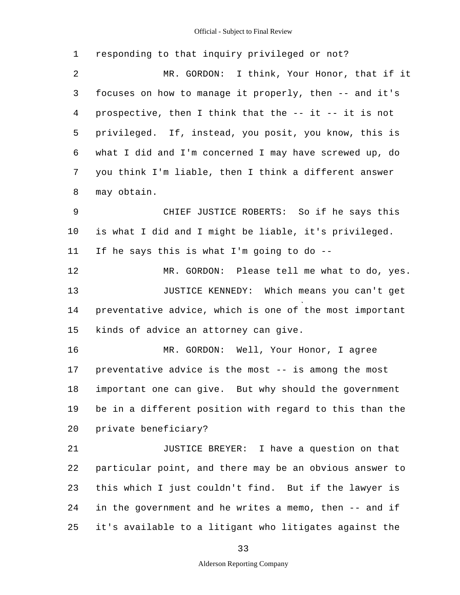5 10 15 20 25 1 responding to that inquiry privileged or not? 2 MR. GORDON: I think, Your Honor, that if it 3 focuses on how to manage it properly, then -- and it's 4 prospective, then I think that the -- it -- it is not privileged. If, instead, you posit, you know, this is 6 what I did and I'm concerned I may have screwed up, do 7 you think I'm liable, then I think a different answer 8 may obtain. 9 CHIEF JUSTICE ROBERTS: So if he says this is what I did and I might be liable, it's privileged. 11 If he says this is what I'm going to do - 12 MR. GORDON: Please tell me what to do, yes. 13 JUSTICE KENNEDY: Which means you can't get 14 preventative advice, which is one of the most important kinds of advice an attorney can give. 16 MR. GORDON: Well, Your Honor, I agree 17 preventative advice is the most -- is among the most 18 important one can give. But why should the government 19 be in a different position with regard to this than the private beneficiary? 21 JUSTICE BREYER: I have a question on that 22 particular point, and there may be an obvious answer to 23 this which I just couldn't find. But if the lawyer is 24 in the government and he writes a memo, then -- and if it's available to a litigant who litigates against the

33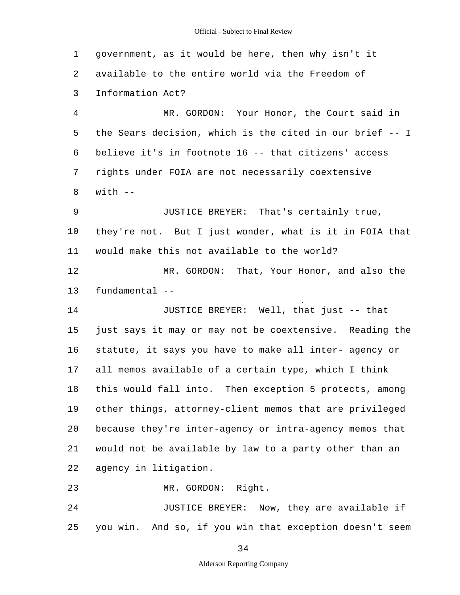5 10 15 20 25 1 government, as it would be here, then why isn't it 2 available to the entire world via the Freedom of 3 Information Act? 4 MR. GORDON: Your Honor, the Court said in the Sears decision, which is the cited in our brief -- I 6 believe it's in footnote 16 -- that citizens' access 7 rights under FOIA are not necessarily coextensive  $8$  with  $-$ 9 JUSTICE BREYER: That's certainly true, they're not. But I just wonder, what is it in FOIA that 11 would make this not available to the world? 12 MR. GORDON: That, Your Honor, and also the 13 fundamental - 14 JUSTICE BREYER: Well, that just -- that just says it may or may not be coextensive. Reading the 16 statute, it says you have to make all inter- agency or 17 all memos available of a certain type, which I think 18 this would fall into. Then exception 5 protects, among 19 other things, attorney-client memos that are privileged because they're inter-agency or intra-agency memos that 21 would not be available by law to a party other than an 22 agency in litigation. 23 MR. GORDON: Right. 24 JUSTICE BREYER: Now, they are available if you win. And so, if you win that exception doesn't seem

34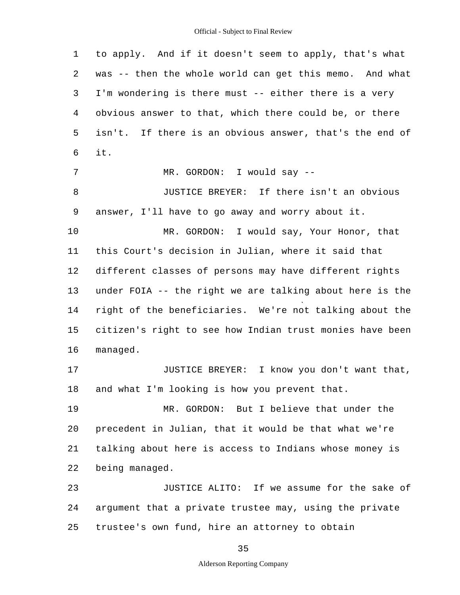5 10 15 20 25 1 to apply. And if it doesn't seem to apply, that's what 2 was -- then the whole world can get this memo. And what 3 I'm wondering is there must -- either there is a very 4 obvious answer to that, which there could be, or there isn't. If there is an obvious answer, that's the end of 6 it. 7 MR. GORDON: I would say --8 JUSTICE BREYER: If there isn't an obvious 9 answer, I'll have to go away and worry about it. MR. GORDON: I would say, Your Honor, that 11 this Court's decision in Julian, where it said that 12 different classes of persons may have different rights 13 under FOIA -- the right we are talking about here is the 14 right of the beneficiaries. We're not talking about the citizen's right to see how Indian trust monies have been 16 managed. 17 JUSTICE BREYER: I know you don't want that, 18 and what I'm looking is how you prevent that. 19 MR. GORDON: But I believe that under the precedent in Julian, that it would be that what we're 21 talking about here is access to Indians whose money is 22 being managed. 23 JUSTICE ALITO: If we assume for the sake of 24 argument that a private trustee may, using the private trustee's own fund, hire an attorney to obtain

35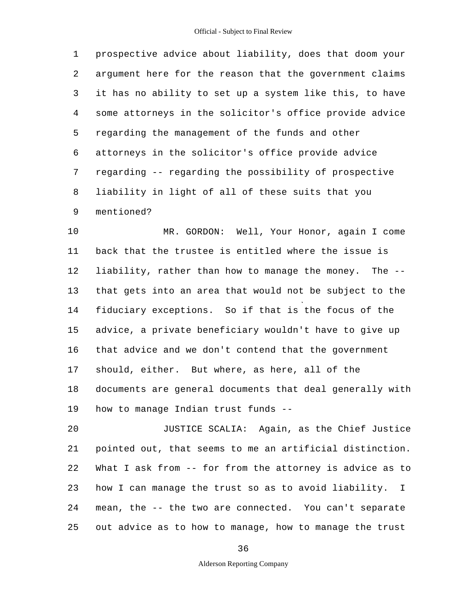5 1 prospective advice about liability, does that doom your 2 argument here for the reason that the government claims 3 it has no ability to set up a system like this, to have 4 some attorneys in the solicitor's office provide advice regarding the management of the funds and other 6 attorneys in the solicitor's office provide advice 7 regarding -- regarding the possibility of prospective 8 liability in light of all of these suits that you 9 mentioned?

10 15 MR. GORDON: Well, Your Honor, again I come 11 back that the trustee is entitled where the issue is 12 liability, rather than how to manage the money. The - 13 that gets into an area that would not be subject to the 14 fiduciary exceptions. So if that is the focus of the advice, a private beneficiary wouldn't have to give up 16 that advice and we don't contend that the government 17 should, either. But where, as here, all of the 18 documents are general documents that deal generally with 19 how to manage Indian trust funds -

20 25 JUSTICE SCALIA: Again, as the Chief Justice 21 pointed out, that seems to me an artificial distinction. 22 What I ask from -- for from the attorney is advice as to 23 how I can manage the trust so as to avoid liability. I 24 mean, the -- the two are connected. You can't separate out advice as to how to manage, how to manage the trust

36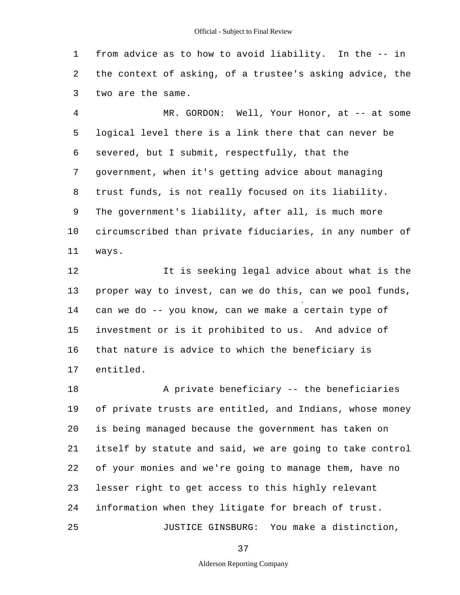1 from advice as to how to avoid liability. In the -- in 2 the context of asking, of a trustee's asking advice, the 3 two are the same.

5 10 4 MR. GORDON: Well, Your Honor, at -- at some logical level there is a link there that can never be 6 severed, but I submit, respectfully, that the 7 government, when it's getting advice about managing 8 trust funds, is not really focused on its liability. 9 The government's liability, after all, is much more circumscribed than private fiduciaries, in any number of 11 ways.

15 12 It is seeking legal advice about what is the 13 proper way to invest, can we do this, can we pool funds, 14 can we do -- you know, can we make a certain type of investment or is it prohibited to us. And advice of 16 that nature is advice to which the beneficiary is 17 entitled.

20 25 18 A private beneficiary -- the beneficiaries 19 of private trusts are entitled, and Indians, whose money is being managed because the government has taken on 21 itself by statute and said, we are going to take control 22 of your monies and we're going to manage them, have no 23 lesser right to get access to this highly relevant 24 information when they litigate for breach of trust. JUSTICE GINSBURG: You make a distinction,

37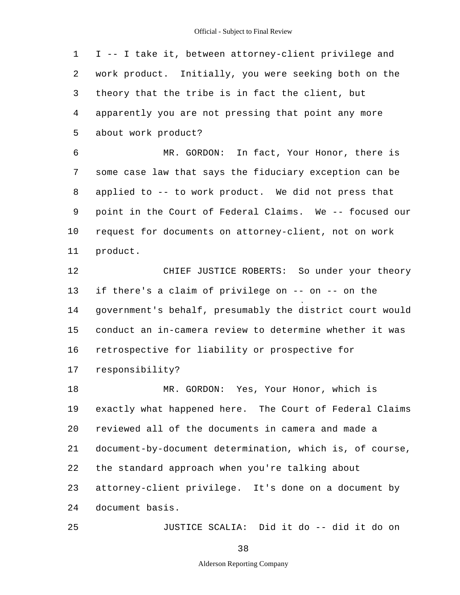5 10 15 20 25 1 I -- I take it, between attorney-client privilege and 2 work product. Initially, you were seeking both on the 3 theory that the tribe is in fact the client, but 4 apparently you are not pressing that point any more about work product? 6 MR. GORDON: In fact, Your Honor, there is 7 some case law that says the fiduciary exception can be 8 applied to -- to work product. We did not press that 9 point in the Court of Federal Claims. We -- focused our request for documents on attorney-client, not on work 11 product. 12 CHIEF JUSTICE ROBERTS: So under your theory 13 if there's a claim of privilege on -- on -- on the 14 government's behalf, presumably the district court would conduct an in-camera review to determine whether it was 16 retrospective for liability or prospective for 17 responsibility? 18 MR. GORDON: Yes, Your Honor, which is 19 exactly what happened here. The Court of Federal Claims reviewed all of the documents in camera and made a 21 document-by-document determination, which is, of course, 22 the standard approach when you're talking about 23 attorney-client privilege. It's done on a document by 24 document basis. JUSTICE SCALIA: Did it do -- did it do on

38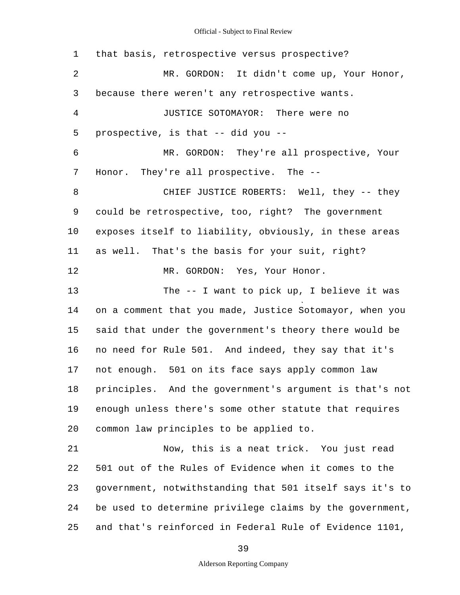#### Official - Subject to Final Review

5 10 15 20 25 1 that basis, retrospective versus prospective? 2 MR. GORDON: It didn't come up, Your Honor, 3 because there weren't any retrospective wants. 4 JUSTICE SOTOMAYOR: There were no prospective, is that -- did you - 6 MR. GORDON: They're all prospective, Your 7 Honor. They're all prospective. The - 8 CHIEF JUSTICE ROBERTS: Well, they -- they 9 could be retrospective, too, right? The government exposes itself to liability, obviously, in these areas 11 as well. That's the basis for your suit, right? 12 MR. GORDON: Yes, Your Honor. 13 The -- I want to pick up, I believe it was 14 on a comment that you made, Justice Sotomayor, when you said that under the government's theory there would be 16 no need for Rule 501. And indeed, they say that it's 17 not enough. 501 on its face says apply common law 18 principles. And the government's argument is that's not 19 enough unless there's some other statute that requires common law principles to be applied to. 21 Now, this is a neat trick. You just read 22 501 out of the Rules of Evidence when it comes to the 23 government, notwithstanding that 501 itself says it's to 24 be used to determine privilege claims by the government, and that's reinforced in Federal Rule of Evidence 1101,

39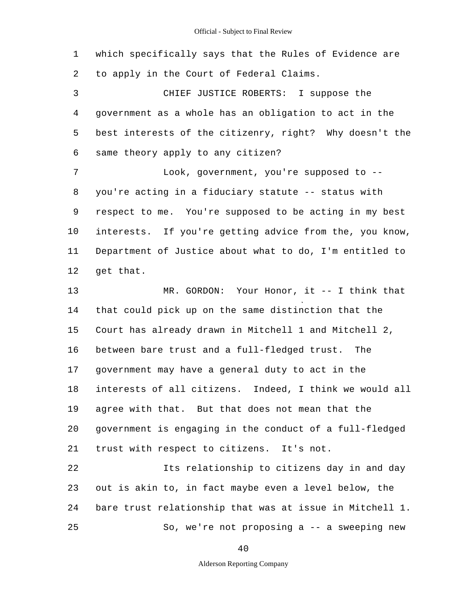1 which specifically says that the Rules of Evidence are 2 to apply in the Court of Federal Claims.

5 3 CHIEF JUSTICE ROBERTS: I suppose the 4 government as a whole has an obligation to act in the best interests of the citizenry, right? Why doesn't the 6 same theory apply to any citizen?

10 7 The Gook, government, you're supposed to --8 you're acting in a fiduciary statute -- status with 9 respect to me. You're supposed to be acting in my best interests. If you're getting advice from the, you know, 11 Department of Justice about what to do, I'm entitled to 12 get that.

15 20 13 MR. GORDON: Your Honor, it -- I think that 14 that could pick up on the same distinction that the Court has already drawn in Mitchell 1 and Mitchell 2, 16 between bare trust and a full-fledged trust. The 17 government may have a general duty to act in the 18 interests of all citizens. Indeed, I think we would all 19 agree with that. But that does not mean that the government is engaging in the conduct of a full-fledged 21 trust with respect to citizens. It's not.

25 22 Its relationship to citizens day in and day 23 out is akin to, in fact maybe even a level below, the 24 bare trust relationship that was at issue in Mitchell 1. So, we're not proposing a -- a sweeping new

40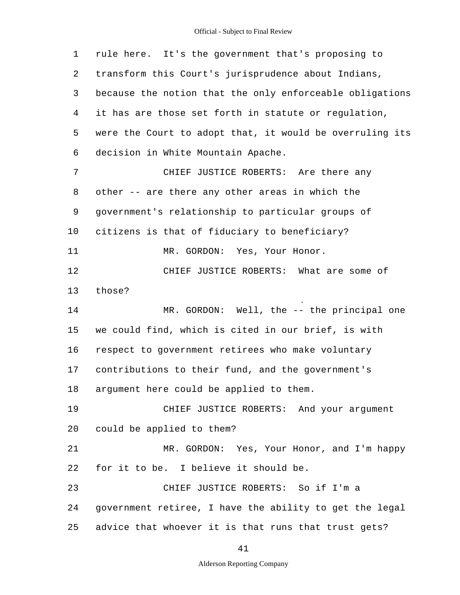5 10 15 20 25 1 rule here. It's the government that's proposing to 2 transform this Court's jurisprudence about Indians, 3 because the notion that the only enforceable obligations 4 it has are those set forth in statute or regulation, were the Court to adopt that, it would be overruling its 6 decision in White Mountain Apache. 7 CHIEF JUSTICE ROBERTS: Are there any 8 other -- are there any other areas in which the 9 government's relationship to particular groups of citizens is that of fiduciary to beneficiary? 11 MR. GORDON: Yes, Your Honor. 12 CHIEF JUSTICE ROBERTS: What are some of 13 those? 14 MR. GORDON: Well, the -- the principal one we could find, which is cited in our brief, is with 16 respect to government retirees who make voluntary 17 contributions to their fund, and the government's 18 argument here could be applied to them. 19 CHIEF JUSTICE ROBERTS: And your argument could be applied to them? 21 MR. GORDON: Yes, Your Honor, and I'm happy 22 for it to be. I believe it should be. 23 CHIEF JUSTICE ROBERTS: So if I'm a 24 government retiree, I have the ability to get the legal advice that whoever it is that runs that trust gets?

41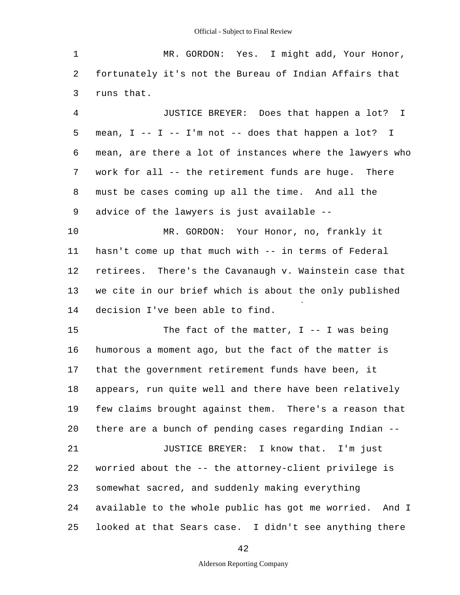5 10 15 20 25 1 MR. GORDON: Yes. I might add, Your Honor, 2 fortunately it's not the Bureau of Indian Affairs that 3 runs that. 4 JUSTICE BREYER: Does that happen a lot? I mean,  $I$  --  $I$  --  $I'$ m not -- does that happen a lot? I 6 mean, are there a lot of instances where the lawyers who 7 work for all -- the retirement funds are huge. There 8 must be cases coming up all the time. And all the 9 advice of the lawyers is just available - MR. GORDON: Your Honor, no, frankly it 11 hasn't come up that much with -- in terms of Federal 12 retirees. There's the Cavanaugh v. Wainstein case that 13 we cite in our brief which is about the only published 14 decision I've been able to find. The fact of the matter,  $I$  -- I was being 16 humorous a moment ago, but the fact of the matter is 17 that the government retirement funds have been, it 18 appears, run quite well and there have been relatively 19 few claims brought against them. There's a reason that there are a bunch of pending cases regarding Indian - 21 **JUSTICE BREYER:** I know that. I'm just 22 worried about the -- the attorney-client privilege is 23 somewhat sacred, and suddenly making everything 24 available to the whole public has got me worried. And I looked at that Sears case. I didn't see anything there

42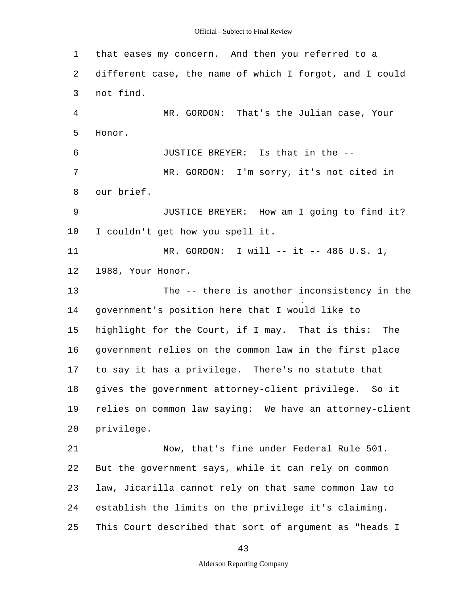#### Official - Subject to Final Review

5 10 15 20 25 1 that eases my concern. And then you referred to a 2 different case, the name of which I forgot, and I could 3 not find. 4 MR. GORDON: That's the Julian case, Your Honor. 6 JUSTICE BREYER: Is that in the - 7 MR. GORDON: I'm sorry, it's not cited in 8 our brief. 9 JUSTICE BREYER: How am I going to find it? I couldn't get how you spell it. 11 MR. GORDON: I will -- it -- 486 U.S. 1, 12 1988, Your Honor. 13 The -- there is another inconsistency in the 14 government's position here that I would like to highlight for the Court, if I may. That is this: The 16 government relies on the common law in the first place 17 to say it has a privilege. There's no statute that 18 gives the government attorney-client privilege. So it 19 relies on common law saying: We have an attorney-client privilege. 21 Now, that's fine under Federal Rule 501. 22 But the government says, while it can rely on common 23 law, Jicarilla cannot rely on that same common law to 24 establish the limits on the privilege it's claiming. This Court described that sort of argument as "heads I

43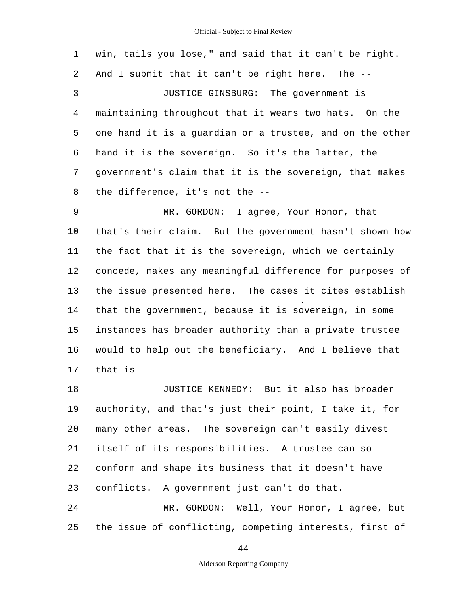5 10 15 1 win, tails you lose," and said that it can't be right. 2 And I submit that it can't be right here. The - 3 JUSTICE GINSBURG: The government is 4 maintaining throughout that it wears two hats. On the one hand it is a guardian or a trustee, and on the other 6 hand it is the sovereign. So it's the latter, the 7 government's claim that it is the sovereign, that makes 8 the difference, it's not the - 9 MR. GORDON: I agree, Your Honor, that that's their claim. But the government hasn't shown how 11 the fact that it is the sovereign, which we certainly 12 concede, makes any meaningful difference for purposes of 13 the issue presented here. The cases it cites establish 14 that the government, because it is sovereign, in some instances has broader authority than a private trustee 16 would to help out the beneficiary. And I believe that  $17$  that is  $-$ 18 JUSTICE KENNEDY: But it also has broader 19 authority, and that's just their point, I take it, for

20 many other areas. The sovereign can't easily divest 21 itself of its responsibilities. A trustee can so 22 conform and shape its business that it doesn't have 23 conflicts. A government just can't do that. 24 MR. GORDON: Well, Your Honor, I agree, but

25 the issue of conflicting, competing interests, first of

44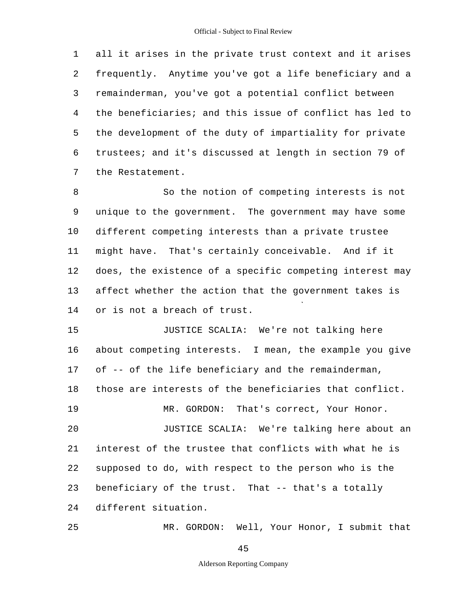5 1 all it arises in the private trust context and it arises 2 frequently. Anytime you've got a life beneficiary and a 3 remainderman, you've got a potential conflict between 4 the beneficiaries; and this issue of conflict has led to the development of the duty of impartiality for private 6 trustees; and it's discussed at length in section 79 of 7 the Restatement.

10 8 So the notion of competing interests is not 9 unique to the government. The government may have some different competing interests than a private trustee 11 might have. That's certainly conceivable. And if it 12 does, the existence of a specific competing interest may 13 affect whether the action that the government takes is 14 or is not a breach of trust.

15 20 JUSTICE SCALIA: We're not talking here 16 about competing interests. I mean, the example you give 17 of -- of the life beneficiary and the remainderman, 18 those are interests of the beneficiaries that conflict. 19 MR. GORDON: That's correct, Your Honor. JUSTICE SCALIA: We're talking here about an 21 interest of the trustee that conflicts with what he is 22 supposed to do, with respect to the person who is the 23 beneficiary of the trust. That -- that's a totally 24 different situation.

MR. GORDON: Well, Your Honor, I submit that

45

25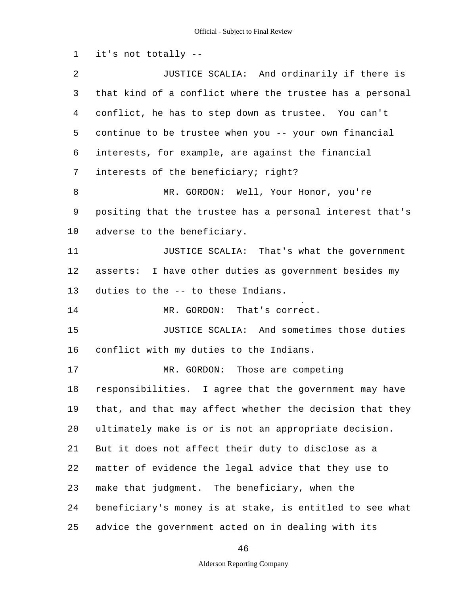1 it's not totally -

5 10 15 20 25 2 JUSTICE SCALIA: And ordinarily if there is 3 that kind of a conflict where the trustee has a personal 4 conflict, he has to step down as trustee. You can't continue to be trustee when you -- your own financial 6 interests, for example, are against the financial 7 interests of the beneficiary; right? 8 MR. GORDON: Well, Your Honor, you're 9 positing that the trustee has a personal interest that's adverse to the beneficiary. 11 **JUSTICE SCALIA:** That's what the government 12 asserts: I have other duties as government besides my 13 duties to the -- to these Indians. 14 MR. GORDON: That's correct. JUSTICE SCALIA: And sometimes those duties 16 conflict with my duties to the Indians. 17 MR. GORDON: Those are competing 18 responsibilities. I agree that the government may have 19 that, and that may affect whether the decision that they ultimately make is or is not an appropriate decision. 21 But it does not affect their duty to disclose as a 22 matter of evidence the legal advice that they use to 23 make that judgment. The beneficiary, when the 24 beneficiary's money is at stake, is entitled to see what advice the government acted on in dealing with its

46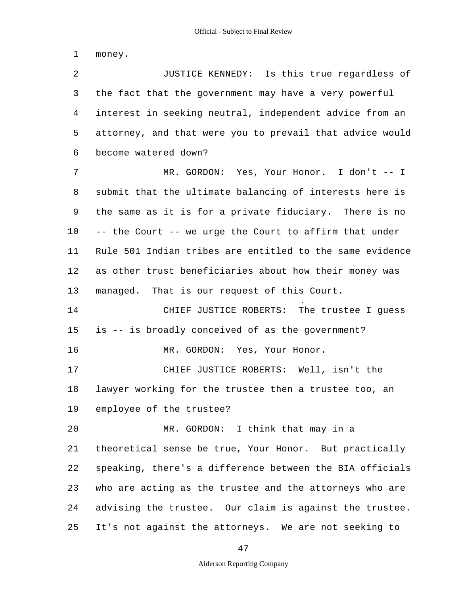1 money.

5 2 JUSTICE KENNEDY: Is this true regardless of 3 the fact that the government may have a very powerful 4 interest in seeking neutral, independent advice from an attorney, and that were you to prevail that advice would 6 become watered down? 7 MR. GORDON: Yes, Your Honor. I don't -- I

10 8 submit that the ultimate balancing of interests here is 9 the same as it is for a private fiduciary. There is no -- the Court -- we urge the Court to affirm that under 11 Rule 501 Indian tribes are entitled to the same evidence 12 as other trust beneficiaries about how their money was 13 managed. That is our request of this Court.

15 14 CHIEF JUSTICE ROBERTS: The trustee I guess is -- is broadly conceived of as the government?

16 MR. GORDON: Yes, Your Honor.

17 CHIEF JUSTICE ROBERTS: Well, isn't the 18 lawyer working for the trustee then a trustee too, an

19 employee of the trustee?

 $20$ 25 MR. GORDON: I think that may in a 21 theoretical sense be true, Your Honor. But practically 22 speaking, there's a difference between the BIA officials 23 who are acting as the trustee and the attorneys who are 24 advising the trustee. Our claim is against the trustee. It's not against the attorneys. We are not seeking to

47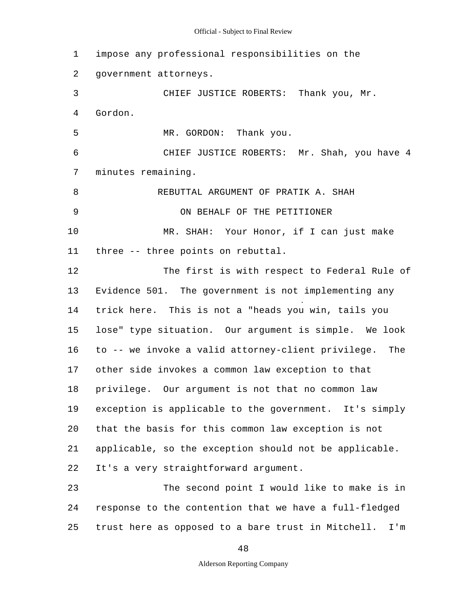#### Official - Subject to Final Review

5 10 15  $20^{\circ}$ 25 1 impose any professional responsibilities on the 2 government attorneys. 3 CHIEF JUSTICE ROBERTS: Thank you, Mr. 4 Gordon. MR. GORDON: Thank you. 6 CHIEF JUSTICE ROBERTS: Mr. Shah, you have 4 7 minutes remaining. 8 REBUTTAL ARGUMENT OF PRATIK A. SHAH 9 ON BEHALF OF THE PETITIONER MR. SHAH: Your Honor, if I can just make 11 three -- three points on rebuttal. 12 The first is with respect to Federal Rule of 13 Evidence 501. The government is not implementing any 14 trick here. This is not a "heads you win, tails you lose" type situation. Our argument is simple. We look 16 to -- we invoke a valid attorney-client privilege. The 17 other side invokes a common law exception to that 18 privilege. Our argument is not that no common law 19 exception is applicable to the government. It's simply that the basis for this common law exception is not 21 applicable, so the exception should not be applicable. 22 It's a very straightforward argument. 23 The second point I would like to make is in 24 response to the contention that we have a full-fledged trust here as opposed to a bare trust in Mitchell. I'm

48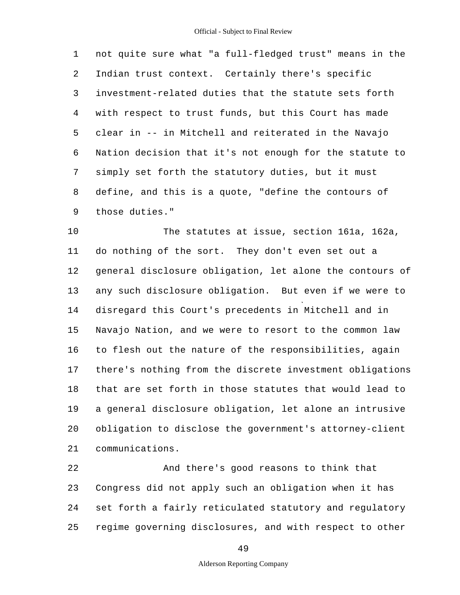5 1 not quite sure what "a full-fledged trust" means in the 2 Indian trust context. Certainly there's specific 3 investment-related duties that the statute sets forth 4 with respect to trust funds, but this Court has made clear in -- in Mitchell and reiterated in the Navajo 6 Nation decision that it's not enough for the statute to 7 simply set forth the statutory duties, but it must 8 define, and this is a quote, "define the contours of 9 those duties."

10 15 20 The statutes at issue, section 161a, 162a, 11 do nothing of the sort. They don't even set out a 12 general disclosure obligation, let alone the contours of 13 any such disclosure obligation. But even if we were to 14 disregard this Court's precedents in Mitchell and in Navajo Nation, and we were to resort to the common law 16 to flesh out the nature of the responsibilities, again 17 there's nothing from the discrete investment obligations 18 that are set forth in those statutes that would lead to 19 a general disclosure obligation, let alone an intrusive obligation to disclose the government's attorney-client 21 communications.

25 22 And there's good reasons to think that 23 Congress did not apply such an obligation when it has 24 set forth a fairly reticulated statutory and regulatory regime governing disclosures, and with respect to other

49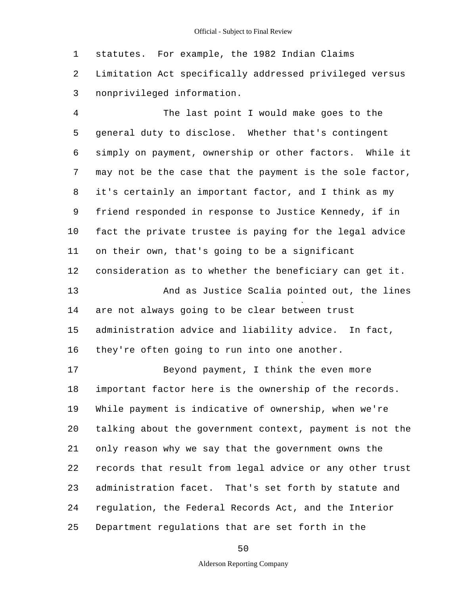1 statutes. For example, the 1982 Indian Claims 2 Limitation Act specifically addressed privileged versus 3 nonprivileged information.

5 10 15 4 The last point I would make goes to the general duty to disclose. Whether that's contingent 6 simply on payment, ownership or other factors. While it 7 may not be the case that the payment is the sole factor, 8 it's certainly an important factor, and I think as my 9 friend responded in response to Justice Kennedy, if in fact the private trustee is paying for the legal advice 11 on their own, that's going to be a significant 12 consideration as to whether the beneficiary can get it. 13 And as Justice Scalia pointed out, the lines 14 are not always going to be clear between trust administration advice and liability advice. In fact, 16 they're often going to run into one another. 17 Beyond payment, I think the even more

20 25 18 important factor here is the ownership of the records. 19 While payment is indicative of ownership, when we're talking about the government context, payment is not the 21 only reason why we say that the government owns the 22 records that result from legal advice or any other trust 23 administration facet. That's set forth by statute and 24 regulation, the Federal Records Act, and the Interior Department regulations that are set forth in the

50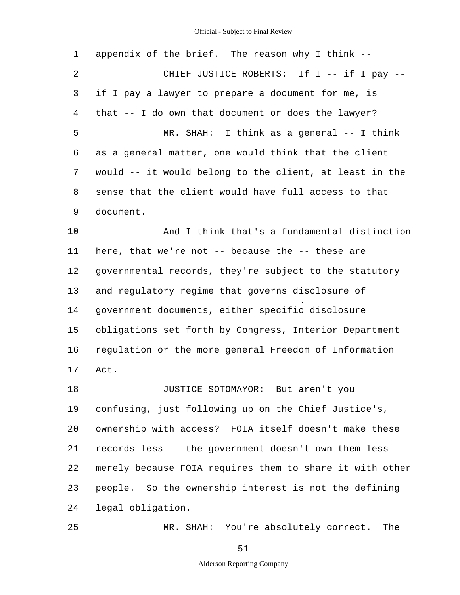# Official - Subject to Final Review

| 1              | appendix of the brief. The reason why I think --         |  |  |  |  |  |
|----------------|----------------------------------------------------------|--|--|--|--|--|
| $\overline{2}$ | CHIEF JUSTICE ROBERTS: If I -- if I pay --               |  |  |  |  |  |
| 3              | if I pay a lawyer to prepare a document for me, is       |  |  |  |  |  |
| 4              | that -- I do own that document or does the lawyer?       |  |  |  |  |  |
| 5              | MR. SHAH: I think as a general -- I think                |  |  |  |  |  |
| 6              | as a general matter, one would think that the client     |  |  |  |  |  |
| 7              | would -- it would belong to the client, at least in the  |  |  |  |  |  |
| 8              | sense that the client would have full access to that     |  |  |  |  |  |
| 9              | document.                                                |  |  |  |  |  |
| 10             | And I think that's a fundamental distinction             |  |  |  |  |  |
| 11             | here, that we're not -- because the -- these are         |  |  |  |  |  |
| 12             | governmental records, they're subject to the statutory   |  |  |  |  |  |
| 13             | and regulatory regime that governs disclosure of         |  |  |  |  |  |
| 14             | government documents, either specific disclosure         |  |  |  |  |  |
| 15             | obligations set forth by Congress, Interior Department   |  |  |  |  |  |
| 16             | regulation or the more general Freedom of Information    |  |  |  |  |  |
| 17             | Act.                                                     |  |  |  |  |  |
| 18             | JUSTICE SOTOMAYOR: But aren't you                        |  |  |  |  |  |
| 19             | confusing, just following up on the Chief Justice's,     |  |  |  |  |  |
| 20             | ownership with access? FOIA itself doesn't make these    |  |  |  |  |  |
| 21             | records less -- the government doesn't own them less     |  |  |  |  |  |
| 22             | merely because FOIA requires them to share it with other |  |  |  |  |  |
| 23             | people. So the ownership interest is not the defining    |  |  |  |  |  |
| 24             | legal obligation.                                        |  |  |  |  |  |
| 25             | MR. SHAH: You're absolutely correct.<br>The              |  |  |  |  |  |

51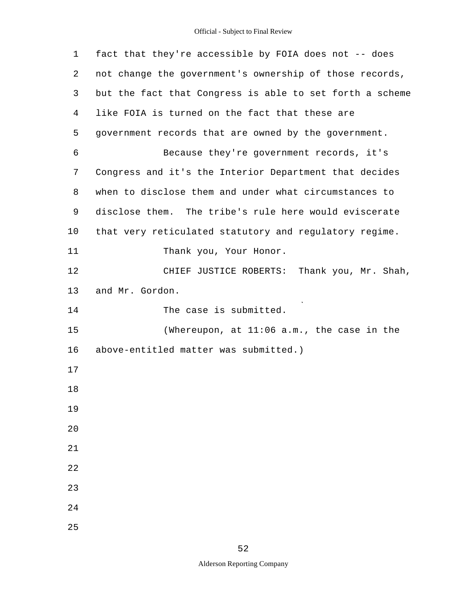# Official - Subject to Final Review

| $\mathbf 1$ | fact that they're accessible by FOIA does not -- does    |
|-------------|----------------------------------------------------------|
| 2           | not change the government's ownership of those records,  |
| 3           | but the fact that Congress is able to set forth a scheme |
| 4           | like FOIA is turned on the fact that these are           |
| 5           | government records that are owned by the government.     |
| 6           | Because they're government records, it's                 |
| 7           | Congress and it's the Interior Department that decides   |
| 8           | when to disclose them and under what circumstances to    |
| 9           | disclose them. The tribe's rule here would eviscerate    |
| 10          | that very reticulated statutory and regulatory regime.   |
| 11          | Thank you, Your Honor.                                   |
| 12          | CHIEF JUSTICE ROBERTS: Thank you, Mr. Shah,              |
| 13          | and Mr. Gordon.                                          |
| 14          | The case is submitted.                                   |
| 15          | (Whereupon, at $11:06$ a.m., the case in the             |
| 16          | above-entitled matter was submitted.)                    |
| 17          |                                                          |
| 18          |                                                          |
| 19          |                                                          |
| 20          |                                                          |
| 21          |                                                          |
| 22          |                                                          |
| 23          |                                                          |
| 24          |                                                          |
| 25          |                                                          |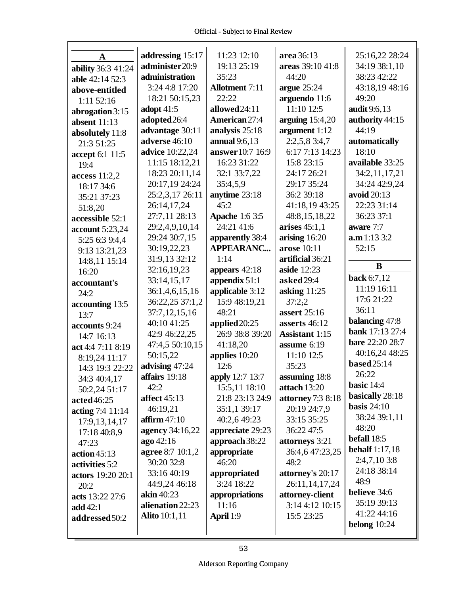| A                  | addressing 15:17       | 11:23 12:10           | area 36:13            | 25:16,22 28:24         |
|--------------------|------------------------|-----------------------|-----------------------|------------------------|
| ability 36:3 41:24 | administer20:9         | 19:13 25:19           | areas 39:10 41:8      | 34:19 38:1,10          |
| able 42:14 52:3    | administration         | 35:23                 | 44:20                 | 38:23 42:22            |
| above-entitled     | 3:24 4:8 17:20         | <b>Allotment</b> 7:11 | argue $25:24$         | 43:18,19 48:16         |
| 1:11 52:16         | 18:21 50:15,23         | 22:22                 | arguendo 11:6         | 49:20                  |
| abrogation $3:15$  | adopt $41:5$           | allowed 24:11         | 11:10 12:5            | audit 9:6,13           |
| absent $11:13$     | adopted 26:4           | American 27:4         | arguing $15:4,20$     | authority 44:15        |
| absolutely 11:8    | advantage 30:11        | analysis 25:18        | argument 1:12         | 44:19                  |
| 21:3 51:25         | adverse 46:10          | annual 9:6,13         | $2:2,5,8$ 3:4,7       | automatically          |
| accept 6:1 11:5    | <b>advice</b> 10:22,24 | answer 10:7 16:9      | 6:17 7:13 14:23       | 18:10                  |
| 19:4               | 11:15 18:12,21         | 16:23 31:22           | 15:8 23:15            | available 33:25        |
| access 11:2,2      | 18:23 20:11,14         | 32:1 33:7,22          | 24:17 26:21           | 34:2,11,17,21          |
| 18:17 34:6         | 20:17,19 24:24         | 35:4,5,9              | 29:17 35:24           | 34:24 42:9,24          |
| 35:21 37:23        | 25:2,3,17 26:11        | anytime 23:18         | 36:2 39:18            | avoid 20:13            |
| 51:8,20            | 26:14,17,24            | 45:2                  | 41:18,19 43:25        | 22:23 31:14            |
| accessible 52:1    | 27:7,11 28:13          | <b>Apache</b> 1:6 3:5 | 48:8,15,18,22         | 36:23 37:1             |
| account 5:23,24    | 29:2,4,9,10,14         | 24:21 41:6            | arises 45:1,1         | aware 7:7              |
| 5:25 6:3 9:4,4     | 29:24 30:7,15          | apparently 38:4       | arising $16:20$       | a.m 1:13 3:2           |
| 9:13 13:21,23      | 30:19,22,23            | <b>APPEARANC</b>      | arose 10:11           | 52:15                  |
| 14:8,11 15:14      | 31:9,13 32:12          | 1:14                  | artificial 36:21      |                        |
| 16:20              | 32:16,19,23            | appears 42:18         | aside 12:23           | B                      |
| accountant's       | 33:14,15,17            | appendix 51:1         | asked 29:4            | back 6:7,12            |
| 24:2               | 36:1,4,6,15,16         | applicable 3:12       | asking $11:25$        | 11:19 16:11            |
| accounting 13:5    | 36:22,25 37:1,2        | 15:9 48:19,21         | 37:2,2                | 17:6 21:22             |
| 13:7               | 37:7,12,15,16          | 48:21                 | assert 25:16          | 36:11                  |
| accounts 9:24      | 40:10 41:25            | applied 20:25         | asserts 46:12         | balancing 47:8         |
| 14:7 16:13         | 42:9 46:22,25          | 26:9 38:8 39:20       | <b>Assistant 1:15</b> | bank 17:13 27:4        |
| act 4:4 7:11 8:19  | 47:4,5 50:10,15        | 41:18,20              | assume 6:19           | <b>bare</b> 22:20 28:7 |
| 8:19,24 11:17      | 50:15,22               | applies 10:20         | 11:10 12:5            | 40:16,24 48:25         |
| 14:3 19:3 22:22    | advising 47:24         | 12:6                  | 35:23                 | <b>based</b> 25:14     |
| 34:3 40:4,17       | affairs 19:18          | apply 12:7 13:7       | assuming 18:8         | 26:22                  |
| 50:2,24 51:17      | 42:2                   | 15:5,11 18:10         | attach 13:20          | basic $14:4$           |
| acted 46:25        | affect $45:13$         | 21:8 23:13 24:9       | attorney 7:3 8:18     | basically 28:18        |
| acting 7:4 11:14   | 46:19,21               | 35:1,1 39:17          | 20:19 24:7,9          | basis $24:10$          |
| 17:9, 13, 14, 17   | affirm $47:10$         | 40:2,6 49:23          | 33:15 35:25           | 38:24 39:1,11          |
| 17:18 40:8,9       | agency 34:16,22        | appreciate 29:23      | 36:22 47:5            | 48:20                  |
| 47:23              | ago 42:16              | approach 38:22        | attorneys 3:21        | befall 18:5            |
| action45:13        | agree 8:7 10:1,2       | appropriate           | 36:4,6 47:23,25       | <b>behalf</b> 1:17,18  |
| activities 5:2     | 30:20 32:8             | 46:20                 | 48:2                  | 2:4,7,10 3:8           |
| actors 19:20 20:1  | 33:16 40:19            | appropriated          | attorney's 20:17      | 24:18 38:14            |
| 20:2               | 44:9,24 46:18          | 3:24 18:22            | 26:11,14,17,24        | 48:9                   |
| acts 13:22 27:6    | akin $40:23$           | appropriations        | attorney-client       | believe 34:6           |
| add 42:1           | alienation 22:23       | 11:16                 | 3:14 4:12 10:15       | 35:19 39:13            |
| addressed 50:2     | <b>Alito</b> 10:1,11   | April 1:9             | 15:5 23:25            | 41:22 44:16            |
|                    |                        |                       |                       | belong $10:24$         |
|                    |                        |                       |                       |                        |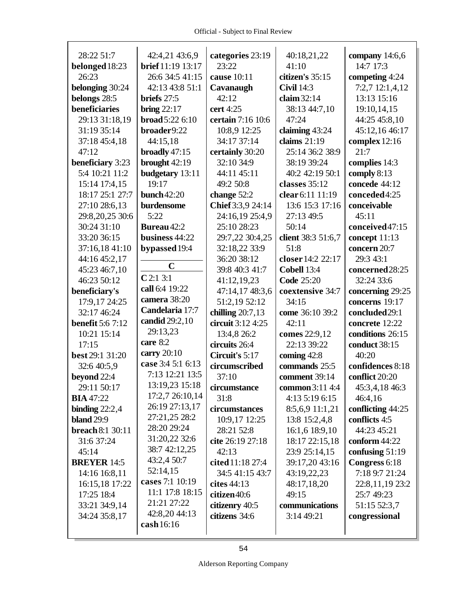| 28:22 51:7              | 42:4,21 43:6,9           | categories 23:19   | 40:18,21,22        | company 14:6,6    |
|-------------------------|--------------------------|--------------------|--------------------|-------------------|
| belonged 18:23          | <b>brief</b> 11:19 13:17 | 23:22              | 41:10              | 14:7 17:3         |
| 26:23                   | 26:6 34:5 41:15          | cause 10:11        | citizen's 35:15    | competing 4:24    |
| belonging 30:24         | 42:13 43:8 51:1          | Cavanaugh          | <b>Civil</b> 14:3  | 7:2,7 12:1,4,12   |
| belongs 28:5            | briefs 27:5              | 42:12              | claim $32:14$      | 13:13 15:16       |
| beneficiaries           | bring $22:17$            | cert 4:25          | 38:13 44:7,10      | 19:10,14,15       |
| 29:13 31:18,19          | broad 5:22 6:10          | certain 7:16 10:6  | 47:24              | 44:25 45:8,10     |
| 31:19 35:14             | broader9:22              | 10:8,9 12:25       | claiming 43:24     | 45:12,16 46:17    |
| 37:18 45:4,18           | 44:15,18                 | 34:17 37:14        | claims $21:19$     | complex 12:16     |
| 47:12                   | broadly $47:15$          | certainly 30:20    | 25:14 36:2 38:9    | 21:7              |
| beneficiary 3:23        | brought 42:19            | 32:10 34:9         | 38:19 39:24        | complies 14:3     |
| 5:4 10:21 11:2          | budgetary 13:11          | 44:11 45:11        | 40:2 42:19 50:1    | comply 8:13       |
| 15:14 17:4,15           | 19:17                    | 49:2 50:8          | classes 35:12      | concede 44:12     |
| 18:17 25:1 27:7         | bunch $42:20$            | change 52:2        | clear 6:11 11:19   | conceded4:25      |
| 27:10 28:6,13           | burdensome               | Chief 3:3,9 24:14  | 13:6 15:3 17:16    | conceivable       |
| 29:8,20,25 30:6         | 5:22                     | 24:16,19 25:4,9    | 27:13 49:5         | 45:11             |
| 30:24 31:10             | Bureau 42:2              | 25:10 28:23        | 50:14              | conceived 47:15   |
| 33:20 36:15             | business 44:22           | 29:7,22 30:4,25    | client 38:3 51:6,7 | concept 11:13     |
| 37:16,18 41:10          | bypassed 19:4            | 32:18,22 33:9      | 51:8               | concern 20:7      |
| 44:16 45:2,17           |                          | 36:20 38:12        | closer 14:2 22:17  | 29:3 43:1         |
| 45:23 46:7,10           | $\mathbf C$              | 39:8 40:3 41:7     | Cobell 13:4        | concerned 28:25   |
| 46:23 50:12             | C2:13:1                  | 41:12,19,23        | <b>Code 25:20</b>  | 32:24 33:6        |
| beneficiary's           | call 6:4 19:22           | 47:14,17 48:3,6    | coextensive 34:7   | concerning 29:25  |
| 17:9,17 24:25           | camera 38:20             | 51:2,19 52:12      | 34:15              | concerns 19:17    |
| 32:17 46:24             | Candelaria 17:7          | chilling $20:7,13$ | come 36:10 39:2    | concluded 29:1    |
| <b>benefit 5:6 7:12</b> | candid 29:2,10           | circuit 3:12 4:25  | 42:11              | concrete 12:22    |
| 10:21 15:14             | 29:13,23                 | 13:4,8 26:2        | comes 22:9,12      | conditions 26:15  |
| 17:15                   | care 8:2                 | circuits 26:4      | 22:13 39:22        | conduct 38:15     |
| best 29:1 31:20         | carry 20:10              | Circuit's 5:17     | coming 42:8        | 40:20             |
| 32:6 40:5,9             | case 3:4 5:1 6:13        | circumscribed      | commands 25:5      | confidences 8:18  |
| beyond 22:4             | 7:13 12:21 13:5          | 37:10              | comment 39:14      | conflict 20:20    |
| 29:11 50:17             | 13:19,23 15:18           | circumstance       | common 3:11 4:4    | 45:3,4,18 46:3    |
| <b>BIA</b> 47:22        | 17:2,7 26:10,14          | 31:8               | 4:13 5:19 6:15     | 46:4,16           |
| binding $22:2,4$        | 26:19 27:13,17           | circumstances      | 8:5,6,9 11:1,21    | conflicting 44:25 |
| <b>bland</b> 29:9       | 27:21,25 28:2            | 10:9,17 12:25      | 13:8 15:2,4,8      | conflicts 4:5     |
| <b>breach 8:1 30:11</b> | 28:20 29:24              | 28:21 52:8         | 16:1,6 18:9,10     | 44:23 45:21       |
| 31:6 37:24              | 31:20,22 32:6            | cite 26:19 27:18   | 18:17 22:15,18     | conform $44:22$   |
| 45:14                   | 38:7 42:12,25            | 42:13              | 23:9 25:14,15      | confusing $51:19$ |
| <b>BREYER 14:5</b>      | 43:2,4 50:7              | cited 11:18 27:4   | 39:17,20 43:16     | Congress 6:18     |
| 14:16 16:8,11           | 52:14,15                 | 34:5 41:15 43:7    | 43:19,22,23        | 7:18 9:7 21:24    |
| 16:15,18 17:22          | cases 7:1 10:19          | cites $44:13$      | 48:17,18,20        | 22:8,11,19 23:2   |
| 17:25 18:4              | 11:1 17:8 18:15          | citizen40:6        | 49:15              | 25:7 49:23        |
| 33:21 34:9,14           | 21:21 27:22              | citizenry 40:5     | communications     | 51:15 52:3,7      |
| 34:24 35:8,17           | 42:8,20 44:13            | citizens 34:6      | 3:14 49:21         | congressional     |
|                         | cash 16:16               |                    |                    |                   |
|                         |                          |                    |                    |                   |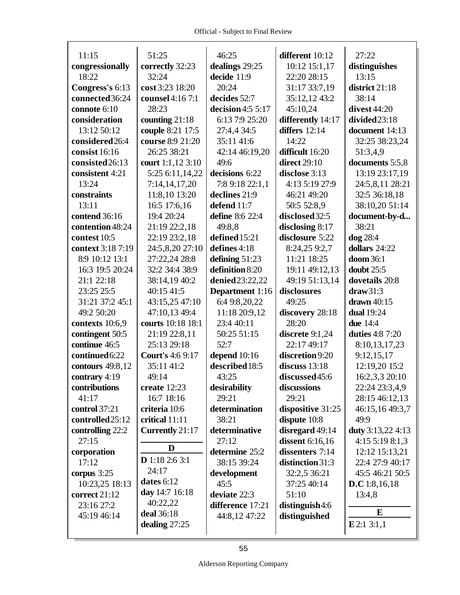| 11:15             | 51:25                   | 46:25                  | different 10:12     | 27:22                  |
|-------------------|-------------------------|------------------------|---------------------|------------------------|
| congressionally   | correctly 32:23         | dealings 29:25         | 10:12 15:1,17       | distinguishes          |
| 18:22             | 32:24                   | decide 11:9            | 22:20 28:15         | 13:15                  |
| Congress's 6:13   | cost 3:23 18:20         | 20:24                  | 31:17 33:7,19       | district 21:18         |
| connected 36:24   | counsel 4:16 7:1        | decides 52:7           | 35:12,12 43:2       | 38:14                  |
| connote 6:10      | 28:23                   | decision $4:55:17$     | 45:10,24            | divest 44:20           |
| consideration     | counting $21:18$        | 6:13 7:9 25:20         | differently 14:17   | divided 23:18          |
| 13:12 50:12       | couple 8:21 17:5        | 27:4,4 34:5            | differs $12:14$     | document 14:13         |
| considered26:4    | course 8:9 21:20        | 35:11 41:6             | 14:22               | 32:25 38:23,24         |
| consist 16:16     | 26:25 38:21             | 42:14 46:19,20         | difficult 16:20     | 51:3,4,9               |
| consisted 26:13   | court 1:1,12 3:10       | 49:6                   | <b>direct</b> 29:10 | documents 5:5,8        |
| consistent 4:21   | 5:25 6:11,14,22         | decisions 6:22         | disclose 3:13       | 13:19 23:17,19         |
| 13:24             | 7:14,14,17,20           | 7:8 9:18 22:1,1        | 4:13 5:19 27:9      | 24:5,8,11 28:21        |
| constraints       | 11:8,10 13:20           | declines 21:9          | 46:21 49:20         | 32:5 36:18,18          |
| 13:11             | 16:5 17:6,16            | defend 11:7            | 50:5 52:8,9         | 38:10,20 51:14         |
| contend 36:16     | 19:4 20:24              | define 8:6 22:4        | disclosed 32:5      | document-by-d          |
| contention 48:24  | 21:19 22:2,18           | 49:8,8                 | disclosing $8:17$   | 38:21                  |
| contest 10:5      | 22:19 23:2,18           | defined 15:21          | disclosure 5:22     | dog 28:4               |
| context 3:18 7:19 | 24:5,8,20 27:10         | defines 4:18           | 8:24,25 9:2,7       | dollars 24:22          |
| 8:9 10:12 13:1    | 27:22,24 28:8           | defining $51:23$       | 11:21 18:25         | $doom 36:1$            |
| 16:3 19:5 20:24   | 32:2 34:4 38:9          | definition 8:20        | 19:11 49:12,13      | doubt 25:5             |
| 21:1 22:18        | 38:14,19 40:2           | denied 23:22,22        | 49:19 51:13,14      | dovetails 20:8         |
| 23:25 25:5        | 40:15 41:5              | <b>Department</b> 1:16 | disclosures         | draw31:3               |
| 31:21 37:2 45:1   | 43:15,25 47:10          | 6:4 9:8,20,22          | 49:25               | drawn 40:15            |
| 49:2 50:20        | 47:10,13 49:4           | 11:18 20:9,12          | discovery 28:18     | <b>dual</b> 19:24      |
| contexts 10:6,9   | courts 10:18 18:1       | 23:4 40:11             | 28:20               | <b>due</b> 14:4        |
| contingent 50:5   | 21:19 22:8,11           | 50:25 51:15            | discrete $9:1,24$   | <b>duties</b> 4:8 7:20 |
| continue 46:5     | 25:13 29:18             | 52:7                   | 22:17 49:17         | 8:10,13,17,23          |
| continued 6:22    | <b>Court's 4:6 9:17</b> | depend 10:16           | discretion 9:20     | 9:12,15,17             |
| contours 49:8,12  | 35:11 41:2              | described 18:5         | discuss $13:18$     | 12:19,20 15:2          |
| contrary 4:19     | 49:14                   | 43:25                  | discussed 45:6      | 16:2,3,3 20:10         |
| contributions     | create $12:23$          | desirability           | discussions         | 22:24 23:3,4,9         |
| 41:17             | 16:7 18:16              | 29:21                  | 29:21               | 28:15 46:12,13         |
| control 37:21     | criteria 10:6           | determination          | dispositive 31:25   | 46:15,16 49:3,7        |
| controlled 25:12  | critical 11:11          | 38:21                  | dispute 10:8        | 49:9                   |
| controlling 22:2  | Currently 21:17         | determinative          | disregard 49:14     | duty 3:13,22 4:13      |
| 27:15             | D                       | 27:12                  | dissent 6:16,16     | 4:155:198:1,3          |
| corporation       |                         | determine 25:2         | dissenters 7:14     | 12:12 15:13,21         |
| 17:12             | <b>D</b> 1:18 2:6 3:1   | 38:15 39:24            | distinction 31:3    | 22:4 27:9 40:17        |
| corpus 3:25       | 24:17                   | development            | 32:2,5 36:21        | 45:5 46:21 50:5        |
| 10:23,25 18:13    | dates 6:12              | 45:5                   | 37:25 40:14         | <b>D.C</b> 1:8,16,18   |
| correct 21:12     | day 14:7 16:18          | deviate 22:3           | 51:10               | 13:4,8                 |
| 23:16 27:2        | 40:22,22                | difference 17:21       | distinguish4:6      | E                      |
| 45:19 46:14       | deal 36:18              | 44:8,12 47:22          | distinguished       |                        |
|                   | dealing $27:25$         |                        |                     | E2:13:1,1              |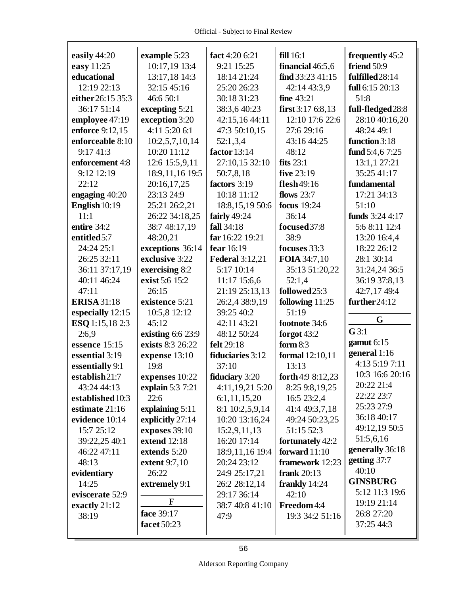| easily $44:20$     | example 5:23      | fact 4:20 6:21         | fill 16:1          | frequently 45:2   |
|--------------------|-------------------|------------------------|--------------------|-------------------|
| easy 11:25         | 10:17,19 13:4     | 9:21 15:25             | financial 46:5,6   | friend 50:9       |
| educational        | 13:17,18 14:3     | 18:14 21:24            | find 33:2341:15    | fulfilled28:14    |
| 12:19 22:13        | 32:15 45:16       | 25:20 26:23            | 42:14 43:3,9       | full 6:15 20:13   |
| either 26:15 35:3  | 46:6 50:1         | 30:18 31:23            | <b>fine</b> 43:21  | 51:8              |
| 36:17 51:14        | excepting 5:21    | 38:3,6 40:23           | first $3:176:8,13$ | full-fledged 28:8 |
| employee 47:19     | exception 3:20    | 42:15,16 44:11         | 12:10 17:6 22:6    | 28:10 40:16,20    |
| enforce 9:12,15    | 4:11 5:20 6:1     | 47:3 50:10,15          | 27:6 29:16         | 48:24 49:1        |
| enforceable 8:10   | 10:2,5,7,10,14    | 52:1,3,4               | 43:16 44:25        | function 3:18     |
| 9:17 41:3          | 10:20 11:12       | factor $13:14$         | 48:12              | fund $5:4,67:25$  |
| enforcement 4:8    | 12:6 15:5,9,11    | 27:10,15 32:10         | fits $23:1$        | 13:1,1 27:21      |
| 9:12 12:19         | 18:9, 11, 16 19:5 | 50:7,8,18              | five 23:19         | 35:25 41:17       |
| 22:12              | 20:16,17,25       | factors 3:19           | flesh49:16         | fundamental       |
| engaging 40:20     | 23:13 24:9        | 10:18 11:12            | flows $23:7$       | 17:21 34:13       |
| English $10:19$    | 25:21 26:2,21     | 18:8, 15, 19 50:6      | focus 19:24        | 51:10             |
| 11:1               | 26:22 34:18,25    | fairly 49:24           | 36:14              | funds 3:24 4:17   |
| entire 34:2        | 38:7 48:17,19     | fall 34:18             | focused 37:8       | 5:6 8:11 12:4     |
| entitled 5:7       | 48:20,21          | far 16:22 19:21        | 38:9               | 13:20 16:4,4      |
| 24:24 25:1         | exceptions 36:14  | fear 16:19             | focuses 33:3       | 18:22 26:12       |
| 26:25 32:11        | exclusive 3:22    | <b>Federal 3:12,21</b> | FOIA 34:7,10       | 28:1 30:14        |
| 36:11 37:17,19     | exercising 8:2    | 5:17 10:14             | 35:13 51:20,22     | 31:24,24 36:5     |
| 40:11 46:24        | exist 5:6 15:2    | 11:17 15:6,6           | 52:1,4             | 36:19 37:8,13     |
| 47:11              | 26:15             | 21:19 25:13,13         | followed25:3       | 42:7,17 49:4      |
| <b>ERISA</b> 31:18 | existence 5:21    | 26:2,4 38:9,19         | following $11:25$  | further 24:12     |
| especially 12:15   | 10:5,8 12:12      | 39:25 40:2             | 51:19              |                   |
| ESQ 1:15,18 2:3    | 45:12             | 42:11 43:21            | footnote 34:6      | G                 |
| 2:6.9              | existing 6:6 23:9 | 48:12 50:24            | forgot 43:2        | $G$ 3:1           |
| essence 15:15      | exists 8:3 26:22  | felt 29:18             | form $8:3$         | gamut $6:15$      |
| essential 3:19     | expense 13:10     | fiduciaries 3:12       | formal 12:10,11    | general 1:16      |
| essentially 9:1    | 19:8              | 37:10                  | 13:13              | 4:13 5:19 7:11    |
| establish21:7      | expenses 10:22    | <b>fiduciary</b> 3:20  | forth 4:9 8:12,23  | 10:3 16:6 20:16   |
| 43:24 44:13        | explain 5:3 7:21  | 4:11,19,21 5:20        | 8:25 9:8,19,25     | 20:22 21:4        |
| established 10:3   | 22:6              | 6:1,11,15,20           | 16:5 23:2,4        | 22:22 23:7        |
| estimate 21:16     | explaining 5:11   | 8:1 10:2,5,9,14        | 41:4 49:3,7,18     | 25:23 27:9        |
| evidence 10:14     | explicitly 27:14  | 10:20 13:16,24         | 49:24 50:23,25     | 36:18 40:17       |
| 15:7 25:12         | exposes 39:10     | 15:2,9,11,13           | 51:15 52:3         | 49:12,19 50:5     |
| 39:22,25 40:1      | extend 12:18      | 16:20 17:14            | fortunately 42:2   | 51:5,6,16         |
| 46:22 47:11        | extends 5:20      | 18:9,11,16 19:4        | forward 11:10      | generally 36:18   |
| 48:13              | extent 9:7,10     | 20:24 23:12            | framework 12:23    | getting 37:7      |
| evidentiary        | 26:22             | 24:9 25:17,21          | frank $20:13$      | 40:10             |
| 14:25              | extremely 9:1     | 26:2 28:12,14          | frankly $14:24$    | <b>GINSBURG</b>   |
| eviscerate 52:9    |                   | 29:17 36:14            | 42:10              | 5:12 11:3 19:6    |
| exactly 21:12      | F                 | 38:7 40:8 41:10        | Freedom 4:4        | 19:19 21:14       |
| 38:19              | face 39:17        | 47:9                   | 19:3 34:2 51:16    | 26:8 27:20        |
|                    | facet 50:23       |                        |                    | 37:25 44:3        |
|                    |                   |                        |                    |                   |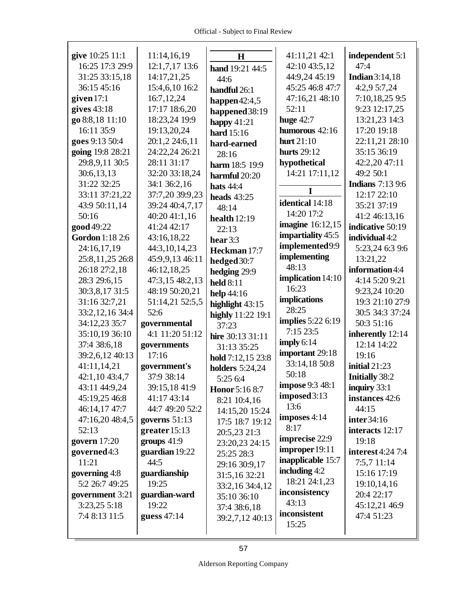Г

| give 10:25 11:1   | 11:14,16,19     | $\bf H$                | 41:11,21 42:1            | independent 5:1         |
|-------------------|-----------------|------------------------|--------------------------|-------------------------|
| 16:25 17:3 29:9   | 12:1,7,17 13:6  | hand 19:21 44:5        | 42:10 43:5,12            | 47:4                    |
| 31:25 33:15,18    | 14:17,21,25     | 44:6                   | 44:9,24 45:19            | Indian $3:14,18$        |
| 36:15 45:16       | 15:4,6,10 16:2  | handful 26:1           | 45:25 46:8 47:7          | 4:2,9 5:7,24            |
| given $17:1$      | 16:7,12,24      | happen $42:4,5$        | 47:16,21 48:10           | 7:10,18,25 9:5          |
| gives $43:18$     | 17:17 18:6,20   | happened 38:19         | 52:11                    | 9:23 12:17,25           |
| go 8:8,18 11:10   | 18:23,24 19:9   | happy $41:21$          | huge $42:7$              | 13:21,23 14:3           |
| 16:11 35:9        | 19:13,20,24     | hard 15:16             | humorous 42:16           | 17:20 19:18             |
| goes 9:13 50:4    | 20:1,2 24:6,11  | hard-earned            | hurt $21:10$             | 22:11,21 28:10          |
| going 19:8 28:21  | 24:22,24 26:21  | 28:16                  | <b>hurts</b> 29:12       | 35:15 36:19             |
| 29:8,9,11 30:5    | 28:11 31:17     | harm 18:5 19:9         | hypothetical             | 42:2,20 47:11           |
| 30:6,13,13        | 32:20 33:18,24  | harmful 20:20          | 14:21 17:11,12           | 49:2 50:1               |
| 31:22 32:25       | 34:1 36:2,16    | <b>hats</b> 44:4       |                          | <b>Indians</b> 7:13 9:6 |
| 33:11 37:21,22    | 37:7,20 39:9,23 | heads $43:25$          | 1                        | 12:17 22:10             |
| 43:9 50:11,14     | 39:24 40:4,7,17 | 48:14                  | identical 14:18          | 35:21 37:19             |
| 50:16             | 40:20 41:1,16   | health $12:19$         | 14:20 17:2               | 41:2 46:13,16           |
| good 49:22        | 41:24 42:17     | 22:13                  | <b>imagine</b> 16:12,15  | indicative 50:19        |
| Gordon 1:18 2:6   | 43:16,18,22     | hear $3:3$             | impartiality 45:5        | individual 4:2          |
| 24:16,17,19       | 44:3,10,14,23   | Heckman 17:7           | implemented9:9           | 5:23,24 6:3 9:6         |
| 25:8,11,25 26:8   | 45:9,9,13 46:11 | hedged 30:7            | implementing             | 13:21,22                |
| 26:18 27:2,18     | 46:12,18,25     | hedging 29:9           | 48:13                    | information 4:4         |
| 28:3 29:6,15      | 47:3,15 48:2,13 | <b>held</b> 8:11       | <b>implication</b> 14:10 | 4:14 5:20 9:21          |
| 30:3,8,17 31:5    | 48:19 50:20,21  | help 44:16             | 16:23                    | 9:23,24 10:20           |
| 31:16 32:7,21     | 51:14,21 52:5,5 | highlight 43:15        | implications             | 19:3 21:10 27:9         |
| 33:2, 12, 16 34:4 | 52:6            | highly 11:22 19:1      | 28:25                    | 30:5 34:3 37:24         |
| 34:12,23 35:7     | governmental    | 37:23                  | <b>implies</b> 5:22 6:19 | 50:3 51:16              |
| 35:10,19 36:10    | 4:1 11:20 51:12 | hire 30:13 31:11       | 7:1523:5                 | inherently 12:14        |
| 37:4 38:6,18      | governments     | 31:13 35:25            | imply $6:14$             | 12:14 14:22             |
| 39:2,6,12 40:13   | 17:16           | hold 7:12,15 23:8      | important 29:18          | 19:16                   |
| 41:11,14,21       | government's    | <b>holders</b> 5:24,24 | 33:14,18 50:8            | initial 21:23           |
| 42:1,10 43:4,7    | 37:9 38:14      | 5:25 6:4               | 50:18                    | <b>Initially 38:2</b>   |
| 43:11 44:9,24     | 39:15,18 41:9   | <b>Honor</b> 5:16 8:7  | <b>impose</b> 9:3 48:1   | inquiry 33:1            |
| 45:19,25 46:8     | 41:17 43:14     | 8:21 10:4,16           | imposed 3:13             | instances 42:6          |
| 46:14,17 47:7     | 44:7 49:20 52:2 | 14:15,20 15:24         | 13:6                     | 44:15                   |
| 47:16,20 48:4,5   | governs $51:13$ | 17:5 18:7 19:12        | imposes $4:14$           | inter 34:16             |
| 52:13             | greater $15:13$ | 20:5,23 21:3           | 8:17                     | interacts 12:17         |
| govern $17:20$    | groups $41:9$   | 23:20,23 24:15         | imprecise 22:9           | 19:18                   |
| governed4:3       | guardian 19:22  | 25:25 28:3             | improper 19:11           | interest $4:24$ 7:4     |
| 11:21             | 44:5            | 29:16 30:9,17          | inapplicable 15:7        | $7:5,7$ 11:14           |
| governing 4:8     | guardianship    | 31:5,16 32:21          | including $4:2$          | 15:16 17:19             |
| 5:2 26:7 49:25    | 19:25           | 33:2,16 34:4,12        | 18:21 24:1,23            | 19:10,14,16             |
| government 3:21   | guardian-ward   | 35:10 36:10            | inconsistency            | 20:4 22:17              |
| 3:23,25 5:18      | 19:22           | 37:4 38:6,18           | 43:13                    | 45:12,21 46:9           |
| 7:4 8:13 11:5     | guess 47:14     | 39:2,7,12 40:13        | inconsistent             | 47:4 51:23              |
|                   |                 |                        | 15:25                    |                         |
|                   |                 |                        |                          |                         |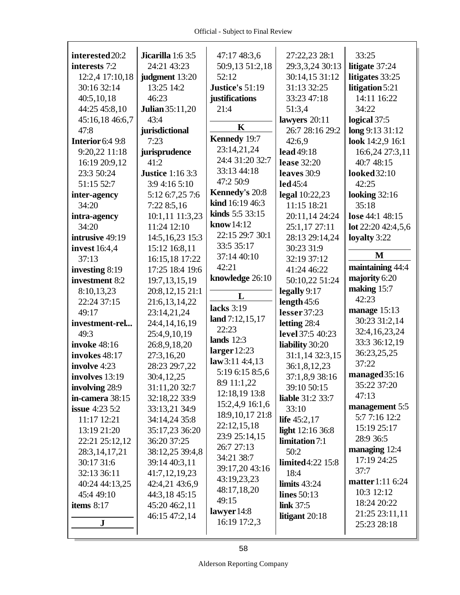| interested 20:2       | Jicarilla 1:6 3:5       | 47:17 48:3,6      | 27:22,23 28:1            | 33:25               |
|-----------------------|-------------------------|-------------------|--------------------------|---------------------|
| interests 7:2         | 24:21 43:23             | 50:9,13 51:2,18   | 29:3,3,24 30:13          | litigate 37:24      |
| 12:2,4 17:10,18       | judgment 13:20          | 52:12             | 30:14,15 31:12           | litigates 33:25     |
| 30:16 32:14           | 13:25 14:2              | Justice's 51:19   | 31:13 32:25              | litigation 5:21     |
| 40:5,10,18            | 46:23                   | justifications    | 33:23 47:18              | 14:11 16:22         |
| 44:25 45:8,10         | <b>Julian</b> 35:11,20  | 21:4              | 51:3,4                   | 34:22               |
| 45:16,18 46:6,7       | 43:4                    |                   | lawyers 20:11            | logical 37:5        |
| 47:8                  | jurisdictional          | $\mathbf K$       | 26:7 28:16 29:2          | long 9:13 31:12     |
| Interior 6:4 9:8      | 7:23                    | Kennedy 19:7      | 42:6,9                   | look 14:2,9 16:1    |
| 9:20,22 11:18         | jurisprudence           | 23:14,21,24       | lead 49:18               | 16:6,24 27:3,11     |
| 16:19 20:9,12         | 41:2                    | 24:4 31:20 32:7   | <b>lease</b> 32:20       | 40:7 48:15          |
| 23:3 50:24            | <b>Justice</b> 1:16 3:3 | 33:13 44:18       | leaves 30:9              | looked 32:10        |
| 51:15 52:7            | 3:9 4:16 5:10           | 47:2 50:9         | $led$ 45:4               | 42:25               |
| inter-agency          | 5:12 6:7,25 7:6         | Kennedy's 20:8    | legal 10:22,23           | looking $32:16$     |
| 34:20                 | 7:22 8:5,16             | kind 16:19 46:3   | 11:15 18:21              | 35:18               |
| intra-agency          | 10:1,11 11:3,23         | kinds 5:5 33:15   | 20:11,14 24:24           | lose 44:1 48:15     |
| 34:20                 | 11:24 12:10             | know14:12         | 25:1,17 27:11            | lot $22:2042:4,5,6$ |
| intrusive 49:19       | 14:5, 16, 23 15:3       | 22:15 29:7 30:1   | 28:13 29:14,24           | loyalty 3:22        |
| <b>invest</b> 16:4,4  | 15:12 16:8,11           | 33:5 35:17        | 30:23 31:9               |                     |
| 37:13                 | 16:15,18 17:22          | 37:14 40:10       | 32:19 37:12              | M                   |
| investing 8:19        | 17:25 18:4 19:6         | 42:21             | 41:24 46:22              | maintaining 44:4    |
| investment 8:2        | 19:7, 13, 15, 19        | knowledge 26:10   | 50:10,22 51:24           | majority 6:20       |
| 8:10,13,23            | 20:8,12,15 21:1         |                   | legally 9:17             | making 15:7         |
| 22:24 37:15           | 21:6, 13, 14, 22        | L                 | length $45:6$            | 42:23               |
| 49:17                 | 23:14,21,24             | lacks 3:19        | lesser 37:23             | manage 15:13        |
| investment-rel        | 24:4,14,16,19           | land $7:12,15,17$ | letting 28:4             | 30:23 31:2,14       |
| 49:3                  | 25:4,9,10,19            | 22:23             | level 37:5 40:23         | 32:4,16,23,24       |
| <b>invoke</b> 48:16   | 26:8,9,18,20            | lands $12:3$      | liability 30:20          | 33:3 36:12,19       |
| invokes 48:17         | 27:3,16,20              | larger $12:23$    | 31:1,14 32:3,15          | 36:23,25,25         |
| involve 4:23          | 28:23 29:7,22           | law3:11 4:4,13    | 36:1,8,12,23             | 37:22               |
| involves 13:19        | 30:4,12,25              | 5:19 6:15 8:5,6   | 37:1,8,9 38:16           | managed 35:16       |
| involving 28:9        | 31:11,20 32:7           | 8:9 11:1,22       | 39:10 50:15              | 35:22 37:20         |
| in-camera 38:15       | 32:18,22 33:9           | 12:18,19 13:8     | <b>liable</b> 31:2 33:7  | 47:13               |
| <b>issue</b> 4:23 5:2 | 33:13,21 34:9           | 15:2,4,9 16:1,6   | 33:10                    | management 5:5      |
| 11:17 12:21           | 34:14,24 35:8           | 18:9, 10, 17 21:8 | life $45:2,17$           | 5:7 7:16 12:2       |
| 13:19 21:20           | 35:17,23 36:20          | 22:12,15,18       | light 12:16 36:8         | 15:19 25:17         |
| 22:21 25:12,12        | 36:20 37:25             | 23:9 25:14,15     | limitation 7:1           | 28:9 36:5           |
| 28:3, 14, 17, 21      | 38:12,25 39:4,8         | 26:7 27:13        | 50:2                     | managing 12:4       |
| 30:17 31:6            | 39:14 40:3,11           | 34:21 38:7        | <b>limited</b> 4:22 15:8 | 17:19 24:25         |
| 32:13 36:11           | 41:7,12,19,23           | 39:17,20 43:16    | 18:4                     | 37:7                |
| 40:24 44:13,25        | 42:4,21 43:6,9          | 43:19,23,23       | limits $43:24$           | matter 1:11 6:24    |
| 45:4 49:10            | 44:3,18 45:15           | 48:17,18,20       | <b>lines</b> 50:13       | 10:3 12:12          |
| items $8:17$          | 45:20 46:2,11           | 49:15             | <b>link</b> 37:5         | 18:24 20:22         |
|                       | 46:15 47:2,14           | lawyer 14:8       | litigant $20:18$         | 21:25 23:11,11      |
| J                     |                         | 16:19 17:2,3      |                          | 25:23 28:18         |
|                       |                         |                   |                          |                     |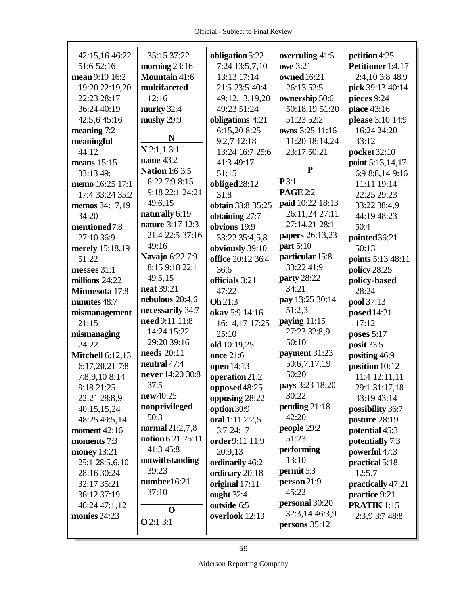| 42:15,16 46:22          | 35:15 37:22            | obligation 5:22   | overruling 41:5  | petition 4:25      |
|-------------------------|------------------------|-------------------|------------------|--------------------|
| 51:6 52:16              | morning $23:16$        | 7:24 13:5,7,10    | <b>owe</b> 3:21  | Petitioner 1:4,17  |
| mean 9:19 16:2          | Mountain 41:6          | 13:13 17:14       | owned 16:21      | 2:4,10 3:8 48:9    |
| 19:20 22:19,20          | multifaceted           | 21:5 23:5 40:4    | 26:13 52:5       | pick 39:13 40:14   |
| 22:23 28:17             | 12:16                  | 49:12,13,19,20    | ownership 50:6   | pieces 9:24        |
| 36:24 40:19             | murky 32:4             | 49:23 51:24       | 50:18,19 51:20   | place 43:16        |
| 42:5,645:16             | mushy 29:9             | obligations 4:21  | 51:23 52:2       | please 3:10 14:9   |
| meaning 7:2             |                        | 6:15,20 8:25      | owns 3:25 11:16  | 16:24 24:20        |
| meaningful              | N                      | 9:2,7 12:18       | 11:20 18:14,24   | 33:12              |
| 44:12                   | $N$ 2:1,1 3:1          | 13:24 16:7 25:6   | 23:17 50:21      | pocket 32:10       |
| means $15:15$           | name 43:2              | 41:3 49:17        |                  | point 5:13,14,17   |
|                         | <b>Nation 1:6 3:5</b>  |                   | ${\bf P}$        |                    |
| 33:13 49:1              | 6:22 7:9 8:15          | 51:15             | P3:1             | 6:9 8:8,14 9:16    |
| memo 16:25 17:1         | 9:18 22:1 24:21        | obliged 28:12     | <b>PAGE 2:2</b>  | 11:11 19:14        |
| 17:4 33:24 35:2         | 49:6,15                | 31:8              | paid 10:22 18:13 | 22:25 29:23        |
| memos 34:17,19          | naturally 6:19         | obtain 33:8 35:25 | 26:11,24 27:11   | 33:22 38:4,9       |
| 34:20                   | nature 3:17 12:3       | obtaining 27:7    | 27:14,21 28:1    | 44:19 48:23        |
| mentioned7:8            | 21:4 22:5 37:16        | obvious 19:9      |                  | 50:4               |
| 27:10 36:9              |                        | 33:22 35:4,5,8    | papers 26:13,23  | pointed 36:21      |
| merely 15:18,19         | 49:16                  | obviously 39:10   | part $5:10$      | 50:13              |
| 51:22                   | <b>Navajo 6:22 7:9</b> | office 20:12 36:4 | particular 15:8  | points 5:13 48:11  |
| messes 31:1             | 8:15 9:18 22:1         | 36:6              | 33:22 41:9       | policy 28:25       |
| millions 24:22          | 49:5,15                | officials 3:21    | party 28:22      | policy-based       |
| Minnesota 17:8          | <b>neat</b> 39:21      | 47:22             | 34:21            | 28:24              |
| minutes 48:7            | nebulous $20:4,6$      | Oh 21:3           | pay 13:25 30:14  | pool 37:13         |
| mismanagement           | necessarily 34:7       | okay 5:9 14:16    | 51:2,3           | posed 14:21        |
| 21:15                   | need 9:11 11:8         | 16:14,17 17:25    | paying $11:15$   | 17:12              |
| mismanaging             | 14:24 15:22            | 25:10             | 27:23 32:8,9     | poses $5:17$       |
| 24:22                   | 29:20 39:16            | old 10:19,25      | 50:10            | posit 33:5         |
| <b>Mitchell 6:12,13</b> | needs 20:11            | once 21:6         | payment 31:23    | positing 46:9      |
| 6:17,20,21 7:8          | neutral 47:4           | open 14:13        | 50:6,7,17,19     | position 10:12     |
| 7:8,9,10 8:14           | never 14:20 30:8       | operation 21:2    | 50:20            | 11:4 12:11,11      |
| 9:18 21:25              | 37:5                   | opposed $48:25$   | pays 3:23 18:20  | 29:1 31:17,18      |
| 22:21 28:8,9            | new40:25               | opposing 28:22    | 30:22            | 33:19 43:14        |
| 40:15,15,24             | nonprivileged          | option 30:9       | pending $21:18$  | possibility 36:7   |
| 48:25 49:5,14           | 50:3                   | oral 1:11 2:2,5   | 42:20            | posture 28:19      |
| <b>moment</b> 42:16     | normal $21:2,7,8$      | 3:7 24:17         | people 29:2      | potential 45:3     |
| moments 7:3             | notion 6:21 25:11      | order9:11 11:9    | 51:23            | potentially 7:3    |
| <b>money</b> 13:21      | 41:3 45:8              | 20:9,13           | performing       | powerful 47:3      |
| 25:1 28:5,6,10          | notwithstanding        | ordinarily 46:2   | 13:10            | practical 5:18     |
| 28:16 30:24             | 39:23                  | ordinary 20:18    | permit 5:3       | 12:5,7             |
| 32:17 35:21             | number $16:21$         | original 17:11    | person 21:9      | practically 47:21  |
| 36:12 37:19             | 37:10                  | ought 32:4        | 45:22            | practice 9:21      |
| 46:24 47:1,12           |                        | outside 6:5       | personal 30:20   | <b>PRATIK 1:15</b> |
|                         | $\mathbf 0$            |                   | 32:3,14 46:3,9   |                    |
| monies 24:23            | <b>O</b> 2:1 3:1       | overlook 12:13    | persons $35:12$  | 2:3,9 3:7 48:8     |
|                         |                        |                   |                  |                    |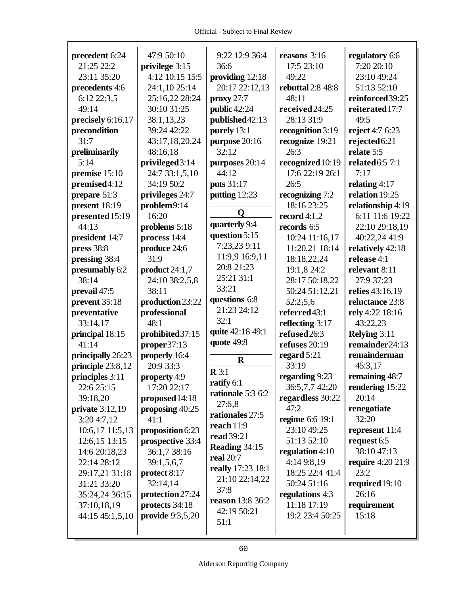| precedent 6:24    | 47:9 50:10         | 9:22 12:9 36:4    | reasons 3:16      | regulatory 6:6           |
|-------------------|--------------------|-------------------|-------------------|--------------------------|
| 21:25 22:2        | privilege 3:15     | 36:6              | 17:5 23:10        | 7:20 20:10               |
| 23:11 35:20       | 4:12 10:15 15:5    | providing 12:18   | 49:22             | 23:10 49:24              |
| precedents 4:6    | 24:1,10 25:14      | 20:17 22:12,13    | rebuttal 2:8 48:8 | 51:13 52:10              |
| 6:12 22:3,5       | 25:16,22 28:24     | proxy 27:7        | 48:11             | reinforced 39:25         |
| 49:14             | 30:10 31:25        | public 42:24      | received 24:25    | reiterated 17:7          |
| precisely 6:16,17 | 38:1,13,23         | published 42:13   | 28:13 31:9        | 49:5                     |
| precondition      | 39:24 42:22        | purely 13:1       | recognition 3:19  | reject 4:7 6:23          |
| 31:7              | 43:17,18,20,24     | purpose 20:16     | recognize 19:21   | rejected6:21             |
| preliminarily     | 48:16,18           | 32:12             | 26:3              | relate 5:5               |
| 5:14              | privileged3:14     | purposes 20:14    | recognized 10:19  | <b>related</b> 6:5 7:1   |
| premise 15:10     | 24:7 33:1,5,10     | 44:12             | 17:6 22:19 26:1   | 7:17                     |
| premised4:12      | 34:19 50:2         | puts 31:17        | 26:5              | relating $4:17$          |
| prepare 51:3      | privileges 24:7    | putting 12:23     | recognizing 7:2   | relation 19:25           |
| present 18:19     | problem9:14        |                   | 18:16 23:25       | relationship 4:19        |
| presented 15:19   | 16:20              | O                 | record $4:1,2$    | 6:11 11:6 19:22          |
| 44:13             | problems 5:18      | quarterly 9:4     | records 6:5       | 22:10 29:18,19           |
| president 14:7    | process 14:4       | question 5:15     | 10:24 11:16,17    | 40:22,24 41:9            |
| press 38:8        | produce 24:6       | 7:23,23 9:11      | 11:20,21 18:14    | relatively 42:18         |
| pressing 38:4     | 31:9               | 11:9,9 16:9,11    | 18:18,22,24       | release 4:1              |
| presumably 6:2    | product 24:1,7     | 20:8 21:23        | 19:1,8 24:2       | relevant 8:11            |
| 38:14             | 24:10 38:2,5,8     | 25:21 31:1        | 28:17 50:18,22    | 27:9 37:23               |
| prevail 47:5      | 38:11              | 33:21             | 50:24 51:12,21    | relies 43:16,19          |
| prevent 35:18     | production 23:22   | questions 6:8     | 52:2;5,6          | reluctance 23:8          |
| preventative      | professional       | 21:23 24:12       | referred43:1      | rely 4:22 18:16          |
| 33:14,17          | 48:1               | 32:1              | reflecting 3:17   | 43:22,23                 |
| principal 18:15   | prohibited 37:15   | quite 42:18 49:1  | refused 26:3      | Relying 3:11             |
| 41:14             | proper37:13        | quote 49:8        | refuses 20:19     | remainder24:13           |
| principally 26:23 | properly 16:4      | $\mathbf R$       | regard 5:21       | remainderman             |
| principle 23:8,12 | 20:9 33:3          | $\mathbf{R} 3:1$  | 33:19             | 45:3,17                  |
| principles 3:11   | property 4:9       | ratify 6:1        | regarding 9:23    | remaining 48:7           |
| 22:6 25:15        | 17:20 22:17        | rationale 5:3 6:2 | 36:5,7,7 42:20    | rendering 15:22          |
| 39:18,20          | proposed 14:18     | 27:6,8            | regardless 30:22  | 20:14                    |
| private $3:12,19$ | proposing $40:25$  | rationales 27:5   | 47:2              | renegotiate              |
| 3:20 4:7,12       | 41:1               | reach 11:9        | regime 6:6 19:1   | 32:20                    |
| 10:6,17 11:5,13   | proposition $6:23$ | read 39:21        | 23:10 49:25       | represent 11:4           |
| 12:6, 15 13:15    | prospective 33:4   | Reading 34:15     | 51:13 52:10       | request 6:5              |
| 14:6 20:18,23     | 36:1,7 38:16       | <b>real</b> 20:7  | regulation 4:10   | 38:10 47:13              |
| 22:14 28:12       | 39:1,5,6,7         | really 17:23 18:1 | 4:14 9:8,19       | <b>require</b> 4:20 21:9 |
| 29:17,21 31:18    | protect 8:17       | 21:10 22:14,22    | 18:25 22:4 41:4   | 23:2                     |
| 31:21 33:20       | 32:14,14           | 37:8              | 50:24 51:16       | required 19:10           |
| 35:24,24 36:15    | protection 27:24   | reason 13:8 36:2  | regulations 4:3   | 26:16                    |
| 37:10,18,19       | protects 34:18     | 42:19 50:21       | 11:18 17:19       | requirement              |
| 44:15 45:1,5,10   | provide $9:3,5,20$ | 51:1              | 19:2 23:4 50:25   | 15:18                    |
|                   |                    |                   |                   |                          |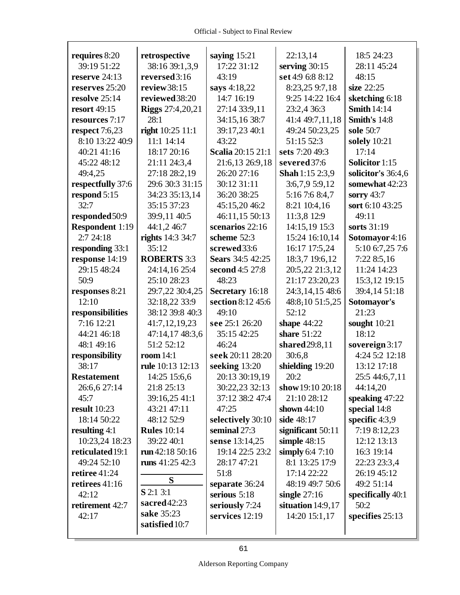| requires 8:20          | retrospective           | saying $15:21$           | 22:13,14          | 18:5 24:23         |
|------------------------|-------------------------|--------------------------|-------------------|--------------------|
| 39:19 51:22            | 38:16 39:1,3,9          | 17:22 31:12              | serving $30:15$   | 28:11 45:24        |
| reserve 24:13          | reversed3:16            | 43:19                    | set 4:9 6:8 8:12  | 48:15              |
| reserves 25:20         | review 38:15            | says 4:18,22             | 8:23,25 9:7,18    | size 22:25         |
| resolve 25:14          | reviewed 38:20          | 14:7 16:19               | 9:25 14:22 16:4   | sketching 6:18     |
| <b>resort</b> 49:15    | <b>Riggs</b> 27:4,20,21 | 27:14 33:9,11            | 23:2,4 36:3       | <b>Smith 14:14</b> |
| resources 7:17         | 28:1                    | 34:15,16 38:7            | 41:4 49:7,11,18   | Smith's 14:8       |
| respect $7:6,23$       | right 10:25 11:1        | 39:17,23 40:1            | 49:24 50:23,25    | sole 50:7          |
| 8:10 13:22 40:9        | 11:1 14:14              | 43:22                    | 51:15 52:3        | solely 10:21       |
| 40:21 41:16            | 18:17 20:16             | <b>Scalia</b> 20:15 21:1 | sets 7:20 49:3    | 17:14              |
| 45:22 48:12            | 21:11 24:3,4            | 21:6,13 26:9,18          | severed 37:6      | Solicitor 1:15     |
| 49:4,25                | 27:18 28:2,19           | 26:20 27:16              | Shah 1:15 2:3,9   | solicitor's 36:4,6 |
| respectfully 37:6      | 29:6 30:3 31:15         | 30:12 31:11              | 3:6,7,9 5:9,12    | somewhat 42:23     |
| respond 5:15           | 34:23 35:13,14          | 36:20 38:25              | 5:16 7:6 8:4,7    | sorry 43:7         |
| 32:7                   | 35:15 37:23             | 45:15,20 46:2            | 8:21 10:4,16      | sort 6:10 43:25    |
| responded 50:9         | 39:9,11 40:5            | 46:11,15 50:13           | 11:3,8 12:9       | 49:11              |
| <b>Respondent 1:19</b> | 44:1,2 46:7             | scenarios 22:16          | 14:15,19 15:3     | sorts 31:19        |
| 2:724:18               | rights 14:3 34:7        | scheme 52:3              | 15:24 16:10,14    | Sotomayor 4:16     |
| responding 33:1        | 35:12                   | screwed 33:6             | 16:17 17:5,24     | 5:10 6:7,25 7:6    |
| response 14:19         | <b>ROBERTS 3:3</b>      | <b>Sears</b> 34:5 42:25  | 18:3,7 19:6,12    | 7:22 8:5,16        |
| 29:15 48:24            | 24:14,16 25:4           | second 4:5 27:8          | 20:5,22 21:3,12   | 11:24 14:23        |
| 50:9                   | 25:10 28:23             | 48:23                    | 21:17 23:20,23    | 15:3,12 19:15      |
| responses 8:21         | 29:7,22 30:4,25         | Secretary 16:18          | 24:3,14,15 48:6   | 39:4,14 51:18      |
| 12:10                  | 32:18,22 33:9           | section 8:12 45:6        | 48:8,10 51:5,25   | Sotomayor's        |
| responsibilities       | 38:12 39:8 40:3         | 49:10                    | 52:12             | 21:23              |
| 7:16 12:21             | 41:7,12,19,23           | see 25:1 26:20           | shape $44:22$     | sought $10:21$     |
| 44:21 46:18            | 47:14,17 48:3,6         | 35:15 42:25              | share 51:22       | 18:12              |
| 48:1 49:16             | 51:2 52:12              | 46:24                    | shared 29:8,11    | sovereign $3:17$   |
| responsibility         | room $14:1$             | seek 20:11 28:20         | 30:6,8            | 4:24 5:2 12:18     |
| 38:17                  | rule 10:13 12:13        | seeking 13:20            | shielding 19:20   | 13:12 17:18        |
| <b>Restatement</b>     | 14:25 15:6,6            | 20:13 30:19,19           | 20:2              | 25:5 44:6,7,11     |
| 26:6,6 27:14           | 21:8 25:13              | 30:22,23 32:13           | show 19:10 20:18  | 44:14,20           |
| 45:7                   | 39:16,25 41:1           | 37:12 38:2 47:4          | 21:10 28:12       | speaking 47:22     |
| <b>result</b> 10:23    | 43:21 47:11             | 47:25                    | shown $44:10$     | special 14:8       |
| 18:14 50:22            | 48:12 52:9              | selectively 30:10        | side 48:17        | specific 4:3,9     |
| resulting $4:1$        | <b>Rules</b> 10:14      | seminal 27:3             | significant 50:11 | 7:19 8:12,23       |
| 10:23,24 18:23         | 39:22 40:1              | sense 13:14,25           | simple $48:15$    | 12:12 13:13        |
| reticulated 19:1       | run $42:18\,50:16$      | 19:14 22:5 23:2          | simply $6:47:10$  | 16:3 19:14         |
| 49:24 52:10            | runs $41:25\,42:3$      | 28:17 47:21              | 8:1 13:25 17:9    | 22:23 23:3,4       |
| retiree 41:24          |                         | 51:8                     | 17:14 22:22       | 26:19 45:12        |
| retirees 41:16         | S                       | separate 36:24           | 48:19 49:7 50:6   | 49:2 51:14         |
| 42:12                  | S 2:1 3:1               | serious 5:18             | single $27:16$    | specifically 40:1  |
| retirement 42:7        | sacred 42:23            | seriously 7:24           | situation 14:9,17 | 50:2               |
| 42:17                  | sake 35:23              | services 12:19           | 14:20 15:1,17     | specifies 25:13    |
|                        | satisfied 10:7          |                          |                   |                    |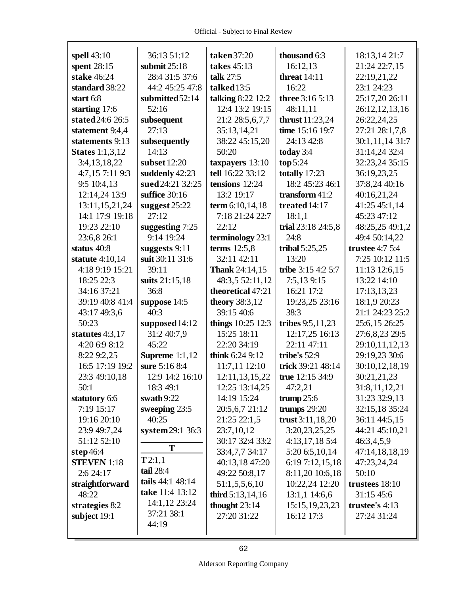| spell 43:10            | 36:13 51:12                   | taken 37:20           | thousand 6:3           | 18:13,14 21:7     |
|------------------------|-------------------------------|-----------------------|------------------------|-------------------|
| spent 28:15            | submit $25:18$                | takes 45:13           | 16:12,13               | 21:24 22:7,15     |
| stake 46:24            | 28:4 31:5 37:6                | talk 27:5             | threat $14:11$         | 22:19,21,22       |
| standard 38:22         | 44:2 45:25 47:8               | talked 13:5           | 16:22                  | 23:1 24:23        |
| start 6:8              | submitted52:14                | talking 8:22 12:2     | <b>three</b> 3:16 5:13 | 25:17,20 26:11    |
| starting 17:6          | 52:16                         | 12:4 13:2 19:15       | 48:11,11               | 26:12,12,13,16    |
| stated 24:6 26:5       | subsequent                    | 21:2 28:5,6,7,7       | thrust 11:23,24        | 26:22,24,25       |
| statement 9:4,4        | 27:13                         | 35:13,14,21           | time 15:16 19:7        | 27:21 28:1,7.8    |
| statements 9:13        | subsequently                  | 38:22 45:15,20        | 24:13 42:8             | 30:1,11,14 31:7   |
| <b>States</b> 1:1,3,12 | 14:13                         | 50:20                 | today 3:4              | 31:14,24 32:4     |
| 3:4,13,18,22           | subset 12:20                  | taxpayers 13:10       | top 5:24               | 32:23,24 35:15    |
| 4:7,15 7:11 9:3        | suddenly 42:23                | tell 16:22 33:12      | totally 17:23          | 36:19,23,25       |
| 9:5 10:4,13            | sued 24:21 32:25              | tensions 12:24        | 18:2 45:23 46:1        | 37:8,24 40:16     |
| 12:14,24 13:9          | suffice 30:16                 | 13:2 19:17            | transform $41:2$       | 40:16,21,24       |
| 13:11,15,21,24         | suggest 25:22                 | term 6:10,14,18       | treated $14:17$        | 41:25 45:1,14     |
| 14:1 17:9 19:18        | 27:12                         | 7:18 21:24 22:7       | 18:1,1                 | 45:23 47:12       |
| 19:23 22:10            | suggesting 7:25               | 22:12                 | trial 23:18 24:5,8     | 48:25,25 49:1,2   |
| 23:6,8 26:1            | 9:14 19:24                    | terminology 23:1      | 24:8                   | 49:4 50:14,22     |
| status 40:8            | suggests 9:11                 | terms $12:5,8$        | tribal $5:25,25$       | trustee $4:7,5:4$ |
| statute 4:10,14        | suit 30:11 31:6               | 32:11 42:11           | 13:20                  | 7:25 10:12 11:5   |
| 4:18 9:19 15:21        | 39:11                         | <b>Thank</b> 24:14,15 | tribe 3:15 4:2 5:7     | 11:13 12:6,15     |
| 18:25 22:3             | suits 21:15,18                | 48:3,5 52:11,12       | 7:5,139:15             | 13:22 14:10       |
| 34:16 37:21            | 36:8                          | theoretical 47:21     | 16:21 17:2             | 17:13,13,23       |
| 39:19 40:8 41:4        | suppose 14:5                  | <b>theory</b> 38:3,12 | 19:23,25 23:16         | 18:1,9 20:23      |
| 43:17 49:3,6           | 40:3                          | 39:15 40:6            | 38:3                   | 21:1 24:23 25:2   |
| 50:23                  | supposed 14:12                | things 10:25 12:3     | tribes 9:5,11,23       | 25:6,15 26:25     |
| statutes 4:3,17        | 31:2 40:7,9                   | 15:25 18:11           | 12:17,25 16:13         | 27:6,8,23 29:5    |
| 4:20 6:9 8:12          | 45:22                         | 22:20 34:19           | 22:11 47:11            | 29:10,11,12,13    |
| 8:22 9:2,25            | <b>Supreme</b> 1:1,12         | think $6:249:12$      | tribe's 52:9           | 29:19,23 30:6     |
| 16:5 17:19 19:2        | sure 5:16 8:4                 | 11:7,11 12:10         | trick 39:21 48:14      | 30:10,12,18,19    |
| 23:3 49:10,18          | 12:9 14:2 16:10               | 12:11,13,15,22        | true 12:15 34:9        | 30:21,21,23       |
| 50:1                   | 18:3 49:1                     | 12:25 13:14,25        | 47:2,21                | 31:8,11,12,21     |
| statutory 6:6          | swath $9:22$                  | 14:19 15:24           | trump $25:6$           | 31:23 32:9,13     |
|                        |                               |                       |                        |                   |
|                        |                               |                       |                        |                   |
| 7:19 15:17             | sweeping 23:5                 | 20:5,6,7 21:12        | trumps $29:20$         | 32:15,18 35:24    |
| 19:16 20:10            | 40:25                         | 21:25 22:1,5          | trust 3:11,18,20       | 36:11 44:5,15     |
| 23:9 49:7,24           | system 29:1 36:3              | 23:7,10,12            | 3:20,23,25,25          | 44:21 45:10,21    |
| 51:12 52:10            | T                             | 30:17 32:4 33:2       | 4:13,17,18 5:4         | 46:3,4,5,9        |
| step $46:4$            |                               | 33:4,7,7 34:17        | 5:20 6:5,10,14         | 47:14,18,18,19    |
| <b>STEVEN</b> 1:18     | T2:1,1                        | 40:13,18 47:20        | 6:19 7:12,15,18        | 47:23,24,24       |
| 2:6 24:17              | tail 28:4<br>tails 44:1 48:14 | 49:22 50:8,17         | 8:11,20 10:6,18        | 50:10             |
| straightforward        | take 11:4 13:12               | 51:1,5,5,6,10         | 10:22,24 12:20         | trustees 18:10    |
| 48:22                  |                               | third $5:13,14,16$    | 13:1,1 14:6,6          | 31:15 45:6        |
| strategies 8:2         | 14:1,12 23:24                 | thought $23:14$       | 15:15, 19, 23, 23      | trustee's 4:13    |
| subject 19:1           | 37:21 38:1<br>44:19           | 27:20 31:22           | 16:12 17:3             | 27:24 31:24       |